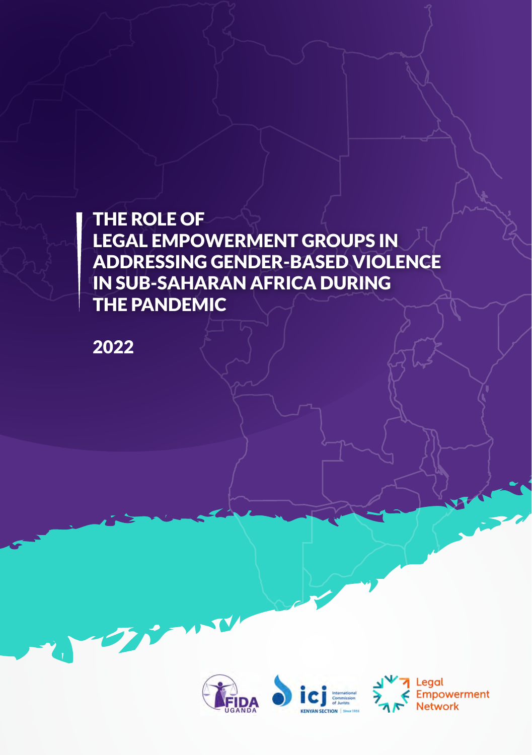THE ROLE OF LEGAL EMPOWERMENT GROUPS IN ADDRESSING GENDER-BASED VIOLENCE IN SUB-SAHARAN AFRICA DURING THE PANDEMIC

2022





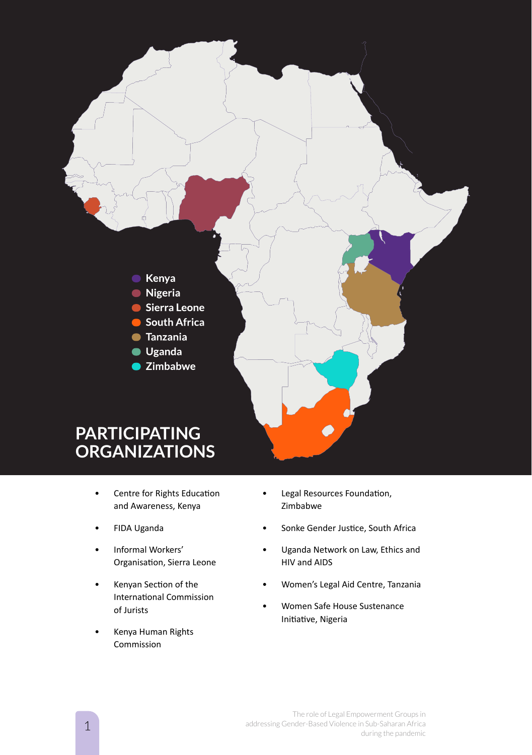

- **ORGANIZATIONS**
	- Centre for Rights Education and Awareness, Kenya
	- FIDA Uganda
	- Informal Workers' Organisation, Sierra Leone
	- Kenyan Section of the International Commission of Jurists
	- Kenya Human Rights Commission
- Legal Resources Foundation, Zimbabwe
- Sonke Gender Justice, South Africa
- Uganda Network on Law, Ethics and HIV and AIDS
- Women's Legal Aid Centre, Tanzania
- Women Safe House Sustenance Initiative, Nigeria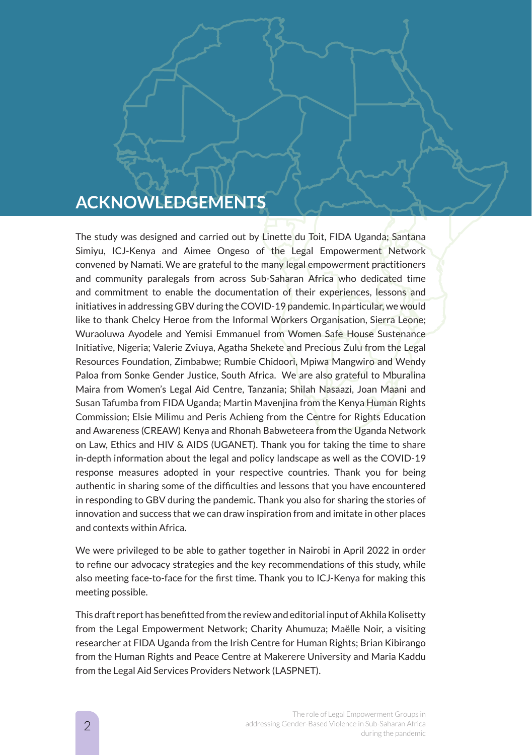# **ACKNOWLEDGEMENTS**

The study was designed and carried out by Linette du Toit, FIDA Uganda; Santana Simiyu, ICJ-Kenya and Aimee Ongeso of the Legal Empowerment Network convened by Namati. We are grateful to the many legal empowerment practitioners and community paralegals from across Sub-Saharan Africa who dedicated time and commitment to enable the documentation of their experiences, lessons and initiatives in addressing GBV during the COVID-19 pandemic. In particular, we would like to thank Chelcy Heroe from the Informal Workers Organisation, Sierra Leone; Wuraoluwa Ayodele and Yemisi Emmanuel from Women Safe House Sustenance Initiative, Nigeria; Valerie Zviuya, Agatha Shekete and Precious Zulu from the Legal Resources Foundation, Zimbabwe; Rumbie Chidoori, Mpiwa Mangwiro and Wendy Paloa from Sonke Gender Justice, South Africa. We are also grateful to Mburalina Maira from Women's Legal Aid Centre, Tanzania; Shilah Nasaazi, Joan Maani and Susan Tafumba from FIDA Uganda; Martin Mavenjina from the Kenya Human Rights Commission; Elsie Milimu and Peris Achieng from the Centre for Rights Education and Awareness (CREAW) Kenya and Rhonah Babweteera from the Uganda Network on Law, Ethics and HIV & AIDS (UGANET). Thank you for taking the time to share in-depth information about the legal and policy landscape as well as the COVID-19 response measures adopted in your respective countries. Thank you for being authentic in sharing some of the difficulties and lessons that you have encountered in responding to GBV during the pandemic. Thank you also for sharing the stories of innovation and success that we can draw inspiration from and imitate in other places and contexts within Africa.

We were privileged to be able to gather together in Nairobi in April 2022 in order to refine our advocacy strategies and the key recommendations of this study, while also meeting face-to-face for the first time. Thank you to ICJ-Kenya for making this meeting possible.

This draft report has benefitted from the review and editorial input of Akhila Kolisetty from the Legal Empowerment Network; Charity Ahumuza; Maëlle Noir, a visiting researcher at FIDA Uganda from the Irish Centre for Human Rights; Brian Kibirango from the Human Rights and Peace Centre at Makerere University and Maria Kaddu from the Legal Aid Services Providers Network (LASPNET).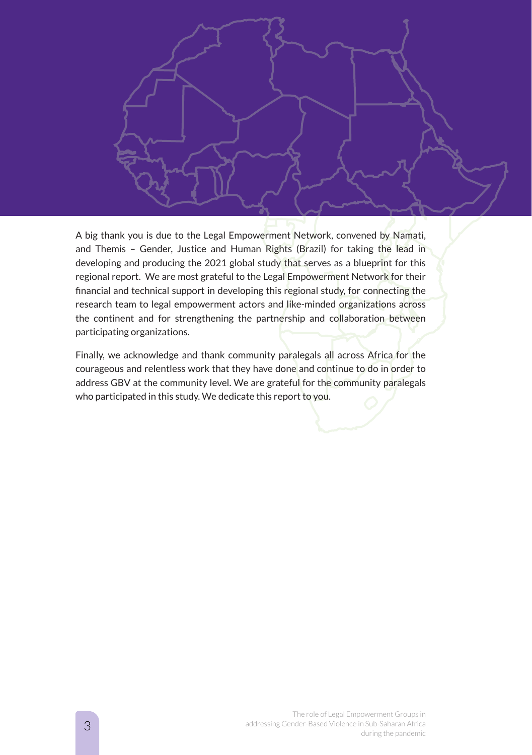

A big thank you is due to the Legal Empowerment Network, convened by Namati, and Themis – Gender, Justice and Human Rights (Brazil) for taking the lead in developing and producing the 2021 global study that serves as a blueprint for this regional report. We are most grateful to the Legal Empowerment Network for their financial and technical support in developing this regional study, for connecting the research team to legal empowerment actors and like-minded organizations across the continent and for strengthening the partnership and collaboration between participating organizations.

Finally, we acknowledge and thank community paralegals all across Africa for the courageous and relentless work that they have done and continue to do in order to address GBV at the community level. We are grateful for the community paralegals who participated in this study. We dedicate this report to you.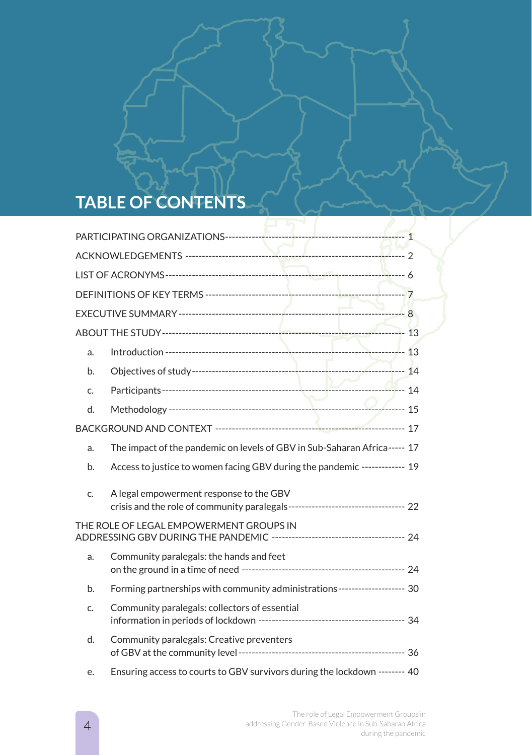# **TABLE OF CONTENTS**

| a.                                      |                                                                                                                              |  |  |
|-----------------------------------------|------------------------------------------------------------------------------------------------------------------------------|--|--|
| b.                                      |                                                                                                                              |  |  |
| C.                                      |                                                                                                                              |  |  |
| d.                                      |                                                                                                                              |  |  |
|                                         |                                                                                                                              |  |  |
| a.                                      | The impact of the pandemic on levels of GBV in Sub-Saharan Africa----- 17                                                    |  |  |
| b.                                      | Access to justice to women facing GBV during the pandemic ------------- 19                                                   |  |  |
| C.                                      | A legal empowerment response to the GBV<br>crisis and the role of community paralegals----------------------------------- 22 |  |  |
| THE ROLE OF LEGAL EMPOWERMENT GROUPS IN |                                                                                                                              |  |  |
| a.                                      | Community paralegals: the hands and feet                                                                                     |  |  |
| b.                                      | Forming partnerships with community administrations-------------------- 30                                                   |  |  |
| C.                                      | Community paralegals: collectors of essential                                                                                |  |  |
| d.                                      | Community paralegals: Creative preventers                                                                                    |  |  |
| е.                                      | Ensuring access to courts to GBV survivors during the lockdown -------- 40                                                   |  |  |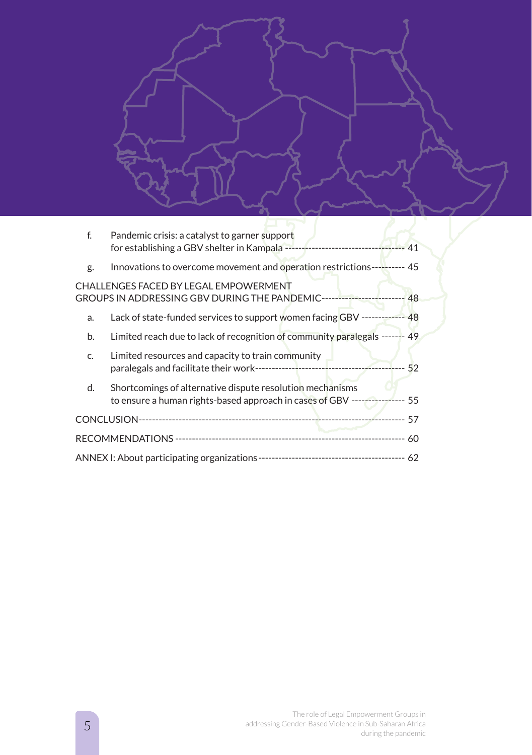| $f$ .                                                                                                            | Pandemic crisis: a catalyst to garner support                                                                                             |  |  |
|------------------------------------------------------------------------------------------------------------------|-------------------------------------------------------------------------------------------------------------------------------------------|--|--|
| g.                                                                                                               | Innovations to overcome movement and operation restrictions----------- 45                                                                 |  |  |
| CHALLENGES FACED BY LEGAL EMPOWERMENT<br>GROUPS IN ADDRESSING GBV DURING THE PANDEMIC------------------------ 48 |                                                                                                                                           |  |  |
| a.                                                                                                               | Lack of state-funded services to support women facing GBV ------------- 48                                                                |  |  |
| b.                                                                                                               | Limited reach due to lack of recognition of community paralegals ------- 49                                                               |  |  |
| C.                                                                                                               | Limited resources and capacity to train community                                                                                         |  |  |
| d.                                                                                                               | Shortcomings of alternative dispute resolution mechanisms<br>to ensure a human rights-based approach in cases of GBV ----------------- 55 |  |  |
|                                                                                                                  |                                                                                                                                           |  |  |
|                                                                                                                  |                                                                                                                                           |  |  |
|                                                                                                                  |                                                                                                                                           |  |  |
|                                                                                                                  |                                                                                                                                           |  |  |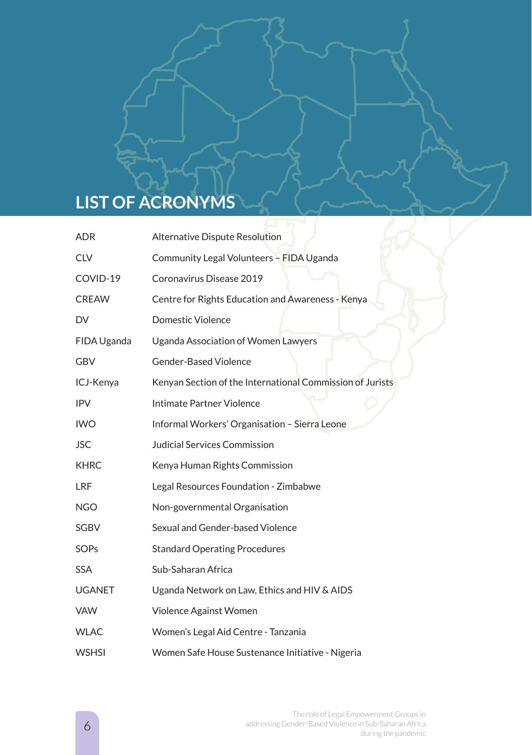# **LIST OF ACRONYMS**

| <b>ADR</b>    | Alternative Dispute Resolution                            |
|---------------|-----------------------------------------------------------|
| <b>CLV</b>    | Community Legal Volunteers - FIDA Uganda                  |
| COVID-19      | Coronavirus Disease 2019                                  |
| <b>CREAW</b>  | Centre for Rights Education and Awareness - Kenya         |
| DV            | Domestic Violence                                         |
| FIDA Uganda   | Uganda Association of Women Lawyers                       |
| <b>GBV</b>    | <b>Gender-Based Violence</b>                              |
| ICJ-Kenya     | Kenyan Section of the International Commission of Jurists |
| <b>IPV</b>    | Intimate Partner Violence                                 |
| <b>IWO</b>    | Informal Workers' Organisation - Sierra Leone             |
| <b>JSC</b>    | Judicial Services Commission                              |
| <b>KHRC</b>   | Kenya Human Rights Commission                             |
| <b>LRF</b>    | Legal Resources Foundation - Zimbabwe                     |
| <b>NGO</b>    | Non-governmental Organisation                             |
| <b>SGBV</b>   | Sexual and Gender-based Violence                          |
| <b>SOPs</b>   | <b>Standard Operating Procedures</b>                      |
| <b>SSA</b>    | Sub-Saharan Africa                                        |
| <b>UGANET</b> | Uganda Network on Law, Ethics and HIV & AIDS              |
| <b>VAW</b>    | Violence Against Women                                    |
| <b>WLAC</b>   | Women's Legal Aid Centre - Tanzania                       |
| <b>WSHSI</b>  | Women Safe House Sustenance Initiative - Nigeria          |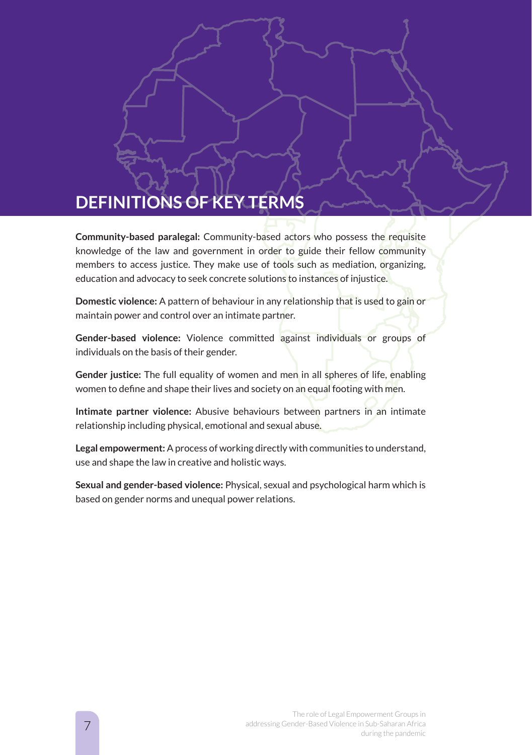# **DEFINITIONS OF KEY TERMS**

**Community-based paralegal:** Community-based actors who possess the requisite knowledge of the law and government in order to guide their fellow community members to access justice. They make use of tools such as mediation, organizing, education and advocacy to seek concrete solutions to instances of injustice.

**Domestic violence:** A pattern of behaviour in any relationship that is used to gain or maintain power and control over an intimate partner.

**Gender-based violence:** Violence committed against individuals or groups of individuals on the basis of their gender.

**Gender justice:** The full equality of women and men in all spheres of life, enabling women to define and shape their lives and society on an equal footing with men.

**Intimate partner violence:** Abusive behaviours between partners in an intimate relationship including physical, emotional and sexual abuse.

**Legal empowerment:** A process of working directly with communities to understand, use and shape the law in creative and holistic ways.

**Sexual and gender-based violence:** Physical, sexual and psychological harm which is based on gender norms and unequal power relations.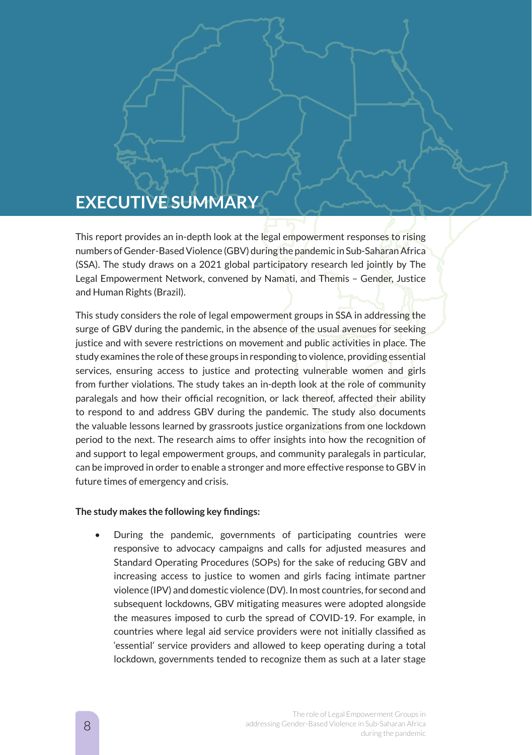# **EXECUTIVE SUMMARY**

This report provides an in-depth look at the legal empowerment responses to rising numbers of Gender-Based Violence (GBV) during the pandemic in Sub-Saharan Africa (SSA). The study draws on a 2021 global participatory research led jointly by The Legal Empowerment Network, convened by Namati, and Themis – Gender, Justice and Human Rights (Brazil).

This study considers the role of legal empowerment groups in SSA in addressing the surge of GBV during the pandemic, in the absence of the usual avenues for seeking justice and with severe restrictions on movement and public activities in place. The study examines the role of these groups in responding to violence, providing essential services, ensuring access to justice and protecting vulnerable women and girls from further violations. The study takes an in-depth look at the role of community paralegals and how their official recognition, or lack thereof, affected their ability to respond to and address GBV during the pandemic. The study also documents the valuable lessons learned by grassroots justice organizations from one lockdown period to the next. The research aims to offer insights into how the recognition of and support to legal empowerment groups, and community paralegals in particular, can be improved in order to enable a stronger and more effective response to GBV in future times of emergency and crisis.

#### **The study makes the following key findings:**

• During the pandemic, governments of participating countries were responsive to advocacy campaigns and calls for adjusted measures and Standard Operating Procedures (SOPs) for the sake of reducing GBV and increasing access to justice to women and girls facing intimate partner violence (IPV) and domestic violence (DV). In most countries, for second and subsequent lockdowns, GBV mitigating measures were adopted alongside the measures imposed to curb the spread of COVID-19. For example, in countries where legal aid service providers were not initially classified as 'essential' service providers and allowed to keep operating during a total lockdown, governments tended to recognize them as such at a later stage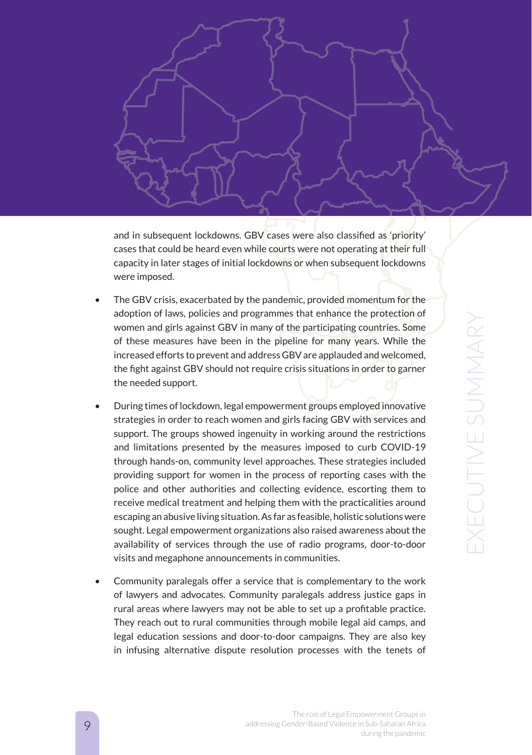

and in subsequent lockdowns. GBV cases were also classified as 'priority' cases that could be heard even while courts were not operating at their full capacity in later stages of initial lockdowns or when subsequent lockdowns were imposed.

- The GBV crisis, exacerbated by the pandemic, provided momentum for the adoption of laws, policies and programmes that enhance the protection of women and girls against GBV in many of the participating countries. Some of these measures have been in the pipeline for many years. While the increased efforts to prevent and address GBV are applauded and welcomed, the fight against GBV should not require crisis situations in order to garner the needed support.
- During times of lockdown, legal empowerment groups employed innovative strategies in order to reach women and girls facing GBV with services and support. The groups showed ingenuity in working around the restrictions and limitations presented by the measures imposed to curb COVID-19 through hands-on, community level approaches. These strategies included providing support for women in the process of reporting cases with the police and other authorities and collecting evidence, escorting them to receive medical treatment and helping them with the practicalities around escaping an abusive living situation. As far as feasible, holistic solutions were sought. Legal empowerment organizations also raised awareness about the availability of services through the use of radio programs, door-to-door visits and megaphone announcements in communities.
- Community paralegals offer a service that is complementary to the work of lawyers and advocates. Community paralegals address justice gaps in rural areas where lawyers may not be able to set up a profitable practice. They reach out to rural communities through mobile legal aid camps, and legal education sessions and door-to-door campaigns. They are also key in infusing alternative dispute resolution processes with the tenets of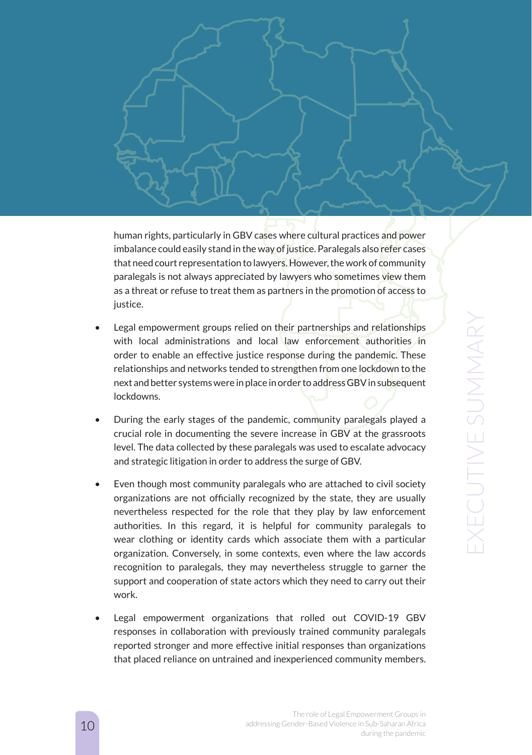

human rights, particularly in GBV cases where cultural practices and power imbalance could easily stand in the way of justice. Paralegals also refer cases that need court representation to lawyers. However, the work of community paralegals is not always appreciated by lawyers who sometimes view them as a threat or refuse to treat them as partners in the promotion of access to justice.

- Legal empowerment groups relied on their partnerships and relationships with local administrations and local law enforcement authorities in order to enable an effective justice response during the pandemic. These relationships and networks tended to strengthen from one lockdown to the next and better systems were in place in order to address GBV in subsequent lockdowns.
- During the early stages of the pandemic, community paralegals played a crucial role in documenting the severe increase in GBV at the grassroots level. The data collected by these paralegals was used to escalate advocacy and strategic litigation in order to address the surge of GBV.
- Even though most community paralegals who are attached to civil society organizations are not officially recognized by the state, they are usually nevertheless respected for the role that they play by law enforcement authorities. In this regard, it is helpful for community paralegals to wear clothing or identity cards which associate them with a particular organization. Conversely, in some contexts, even where the law accords recognition to paralegals, they may nevertheless struggle to garner the support and cooperation of state actors which they need to carry out their work.
- Legal empowerment organizations that rolled out COVID-19 GBV responses in collaboration with previously trained community paralegals reported stronger and more effective initial responses than organizations that placed reliance on untrained and inexperienced community members.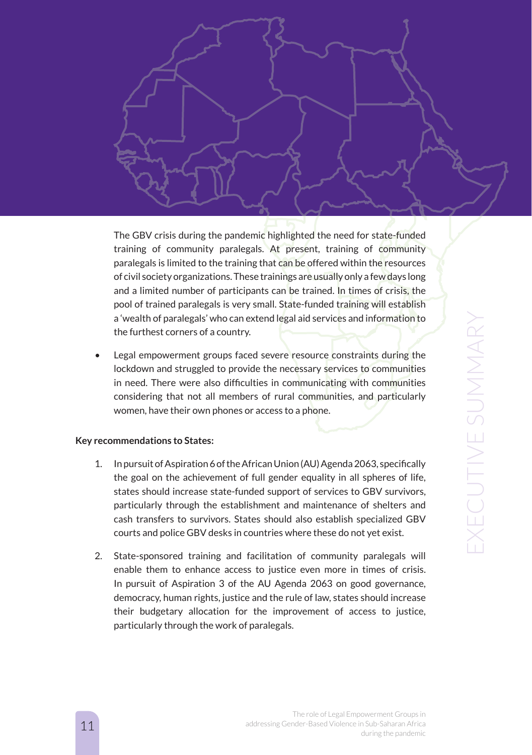

The GBV crisis during the pandemic highlighted the need for state-funded training of community paralegals. At present, training of community paralegals is limited to the training that can be offered within the resources of civil society organizations. These trainings are usually only a few days long and a limited number of participants can be trained. In times of crisis, the pool of trained paralegals is very small. State-funded training will establish a 'wealth of paralegals' who can extend legal aid services and information to the furthest corners of a country.

Legal empowerment groups faced severe resource constraints during the lockdown and struggled to provide the necessary services to communities in need. There were also difficulties in communicating with communities considering that not all members of rural communities, and particularly women, have their own phones or access to a phone.

#### **Key recommendations to States:**

- 1. In pursuit of Aspiration 6 of the African Union (AU) Agenda 2063, specifically the goal on the achievement of full gender equality in all spheres of life, states should increase state-funded support of services to GBV survivors, particularly through the establishment and maintenance of shelters and cash transfers to survivors. States should also establish specialized GBV courts and police GBV desks in countries where these do not yet exist.
- 2. State-sponsored training and facilitation of community paralegals will enable them to enhance access to justice even more in times of crisis. In pursuit of Aspiration 3 of the AU Agenda 2063 on good governance, democracy, human rights, justice and the rule of law, states should increase their budgetary allocation for the improvement of access to justice, particularly through the work of paralegals.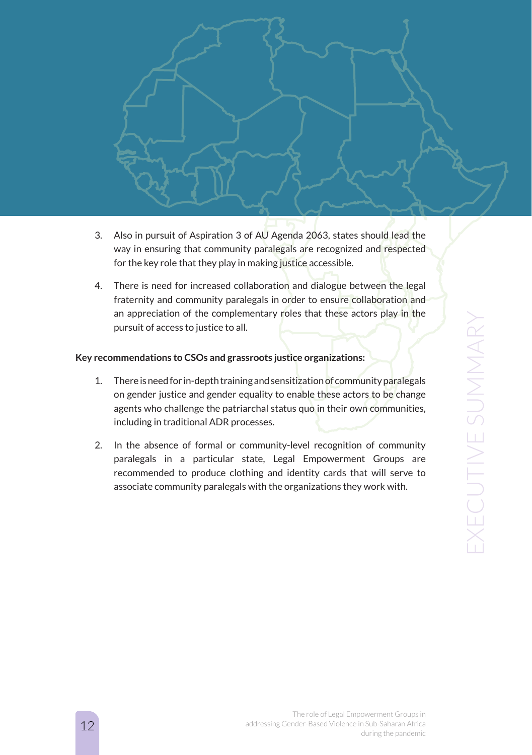

- 3. Also in pursuit of Aspiration 3 of AU Agenda 2063, states should lead the way in ensuring that community paralegals are recognized and respected for the key role that they play in making justice accessible.
- 4. There is need for increased collaboration and dialogue between the legal fraternity and community paralegals in order to ensure collaboration and an appreciation of the complementary roles that these actors play in the pursuit of access to justice to all.

#### **Key recommendations to CSOs and grassroots justice organizations:**

- 1. There is need for in-depth training and sensitization of community paralegals on gender justice and gender equality to enable these actors to be change agents who challenge the patriarchal status quo in their own communities, including in traditional ADR processes.
- 2. In the absence of formal or community-level recognition of community paralegals in a particular state, Legal Empowerment Groups are recommended to produce clothing and identity cards that will serve to associate community paralegals with the organizations they work with.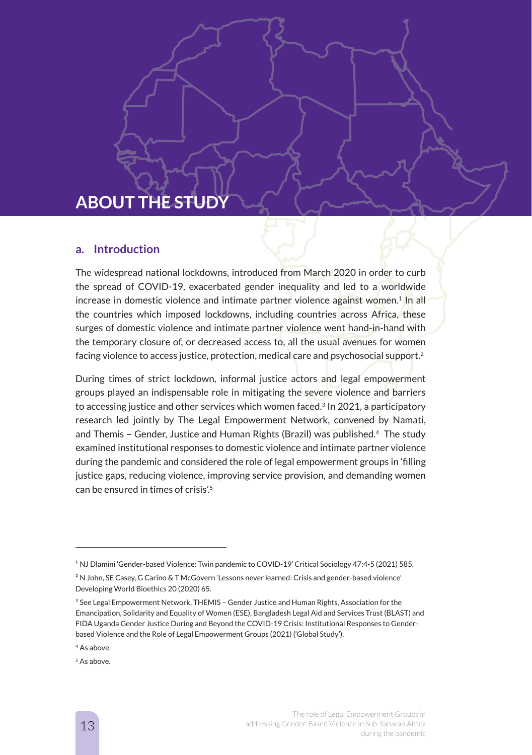# **ABOUT THE STUDY**

#### **a. Introduction**

The widespread national lockdowns, introduced from March 2020 in order to curb the spread of COVID-19, exacerbated gender inequality and led to a worldwide increase in domestic violence and intimate partner violence against women.<sup>1</sup> In all the countries which imposed lockdowns, including countries across Africa, these surges of domestic violence and intimate partner violence went hand-in-hand with the temporary closure of, or decreased access to, all the usual avenues for women facing violence to access justice, protection, medical care and psychosocial support.2

During times of strict lockdown, informal justice actors and legal empowerment groups played an indispensable role in mitigating the severe violence and barriers to accessing justice and other services which women faced.<sup>3</sup> In 2021, a participatory research led jointly by The Legal Empowerment Network, convened by Namati, and Themis – Gender, Justice and Human Rights (Brazil) was published.4 The study examined institutional responses to domestic violence and intimate partner violence during the pandemic and considered the role of legal empowerment groups in 'filling justice gaps, reducing violence, improving service provision, and demanding women can be ensured in times of crisis'.5

<sup>&</sup>lt;sup>1</sup> NJ Dlamini 'Gender-based Violence: Twin pandemic to COVID-19' Critical Sociology 47:4-5 (2021) 585.

<sup>&</sup>lt;sup>2</sup> N John, SE Casey, G Carino & T McGovern 'Lessons never learned: Crisis and gender-based violence' Developing World Bioethics 20 (2020) 65.

<sup>&</sup>lt;sup>3</sup> See Legal Empowerment Network, THEMIS - Gender Justice and Human Rights, Association for the Emancipation, Solidarity and Equality of Women (ESE), Bangladesh Legal Aid and Services Trust (BLAST) and FIDA Uganda Gender Justice During and Beyond the COVID-19 Crisis: Institutional Responses to Genderbased Violence and the Role of Legal Empowerment Groups (2021) ('Global Study').

<sup>4</sup> As above.

<sup>&</sup>lt;sup>5</sup> As above.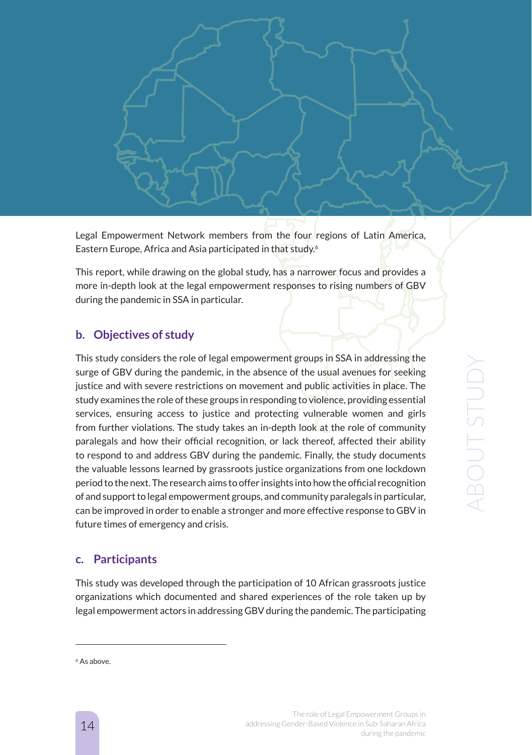Legal Empowerment Network members from the four regions of Latin America, Eastern Europe, Africa and Asia participated in that study.6

This report, while drawing on the global study, has a narrower focus and provides a more in-depth look at the legal empowerment responses to rising numbers of GBV during the pandemic in SSA in particular.

### **b. Objectives of study**

This study considers the role of legal empowerment groups in SSA in addressing the surge of GBV during the pandemic, in the absence of the usual avenues for seeking justice and with severe restrictions on movement and public activities in place. The study examines the role of these groups in responding to violence, providing essential services, ensuring access to justice and protecting vulnerable women and girls from further violations. The study takes an in-depth look at the role of community paralegals and how their official recognition, or lack thereof, affected their ability to respond to and address GBV during the pandemic. Finally, the study documents the valuable lessons learned by grassroots justice organizations from one lockdown period to the next. The research aims to offer insights into how the official recognition of and support to legal empowerment groups, and community paralegals in particular, can be improved in order to enable a stronger and more effective response to GBV in future times of emergency and crisis.

### **c. Participants**

This study was developed through the participation of 10 African grassroots justice organizations which documented and shared experiences of the role taken up by legal empowerment actors in addressing GBV during the pandemic. The participating

<sup>&</sup>lt;sup>6</sup> As above.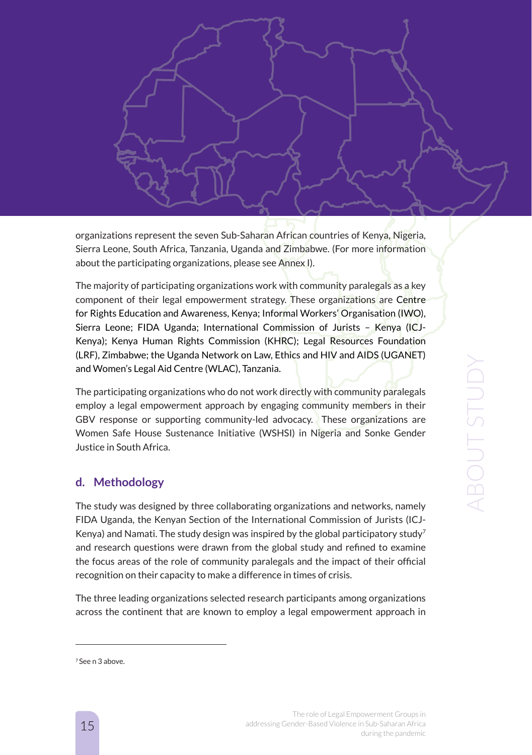organizations represent the seven Sub-Saharan African countries of Kenya, Nigeria, Sierra Leone, South Africa, Tanzania, Uganda and Zimbabwe. (For more information about the participating organizations, please see Annex I).

The majority of participating organizations work with community paralegals as a key component of their legal empowerment strategy. These organizations are Centre for Rights Education and Awareness, Kenya; Informal Workers' Organisation (IWO), Sierra Leone; FIDA Uganda; International Commission of Jurists – Kenya (ICJ-Kenya); Kenya Human Rights Commission (KHRC); Legal Resources Foundation (LRF), Zimbabwe; the Uganda Network on Law, Ethics and HIV and AIDS (UGANET) and Women's Legal Aid Centre (WLAC), Tanzania.

The participating organizations who do not work directly with community paralegals employ a legal empowerment approach by engaging community members in their GBV response or supporting community-led advocacy. These organizations are Women Safe House Sustenance Initiative (WSHSI) in Nigeria and Sonke Gender Justice in South Africa.

### **d. Methodology**

The study was designed by three collaborating organizations and networks, namely FIDA Uganda, the Kenyan Section of the International Commission of Jurists (ICJ-Kenya) and Namati. The study design was inspired by the global participatory study<sup>7</sup> and research questions were drawn from the global study and refined to examine the focus areas of the role of community paralegals and the impact of their official recognition on their capacity to make a difference in times of crisis.

The three leading organizations selected research participants among organizations across the continent that are known to employ a legal empowerment approach in

<sup>7</sup> See n 3 above.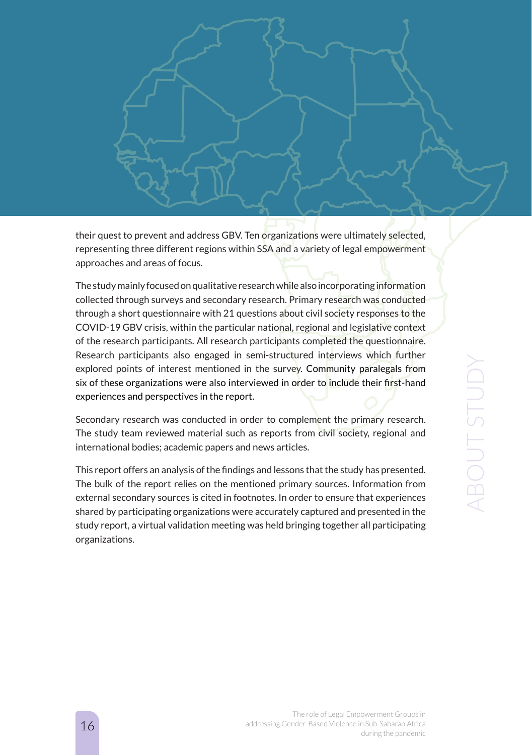ABOUT STUDY**ABOUT STUDY** 

their quest to prevent and address GBV. Ten organizations were ultimately selected, representing three different regions within SSA and a variety of legal empowerment

The study mainly focused on qualitative research while also incorporating information collected through surveys and secondary research. Primary research was conducted through a short questionnaire with 21 questions about civil society responses to the COVID-19 GBV crisis, within the particular national, regional and legislative context of the research participants. All research participants completed the questionnaire. Research participants also engaged in semi-structured interviews which further explored points of interest mentioned in the survey. Community paralegals from six of these organizations were also interviewed in order to include their first-hand

Secondary research was conducted in order to complement the primary research. The study team reviewed material such as reports from civil society, regional and

This report offers an analysis of the findings and lessons that the study has presented. The bulk of the report relies on the mentioned primary sources. Information from external secondary sources is cited in footnotes. In order to ensure that experiences shared by participating organizations were accurately captured and presented in the study report, a virtual validation meeting was held bringing together all participating

approaches and areas of focus.

experiences and perspectives in the report.

international bodies; academic papers and news articles.

The role of Legal Empowerment Groups in addressing Gender-Based Violence in Sub-Saharan Africa during the pandemic

### 16

organizations.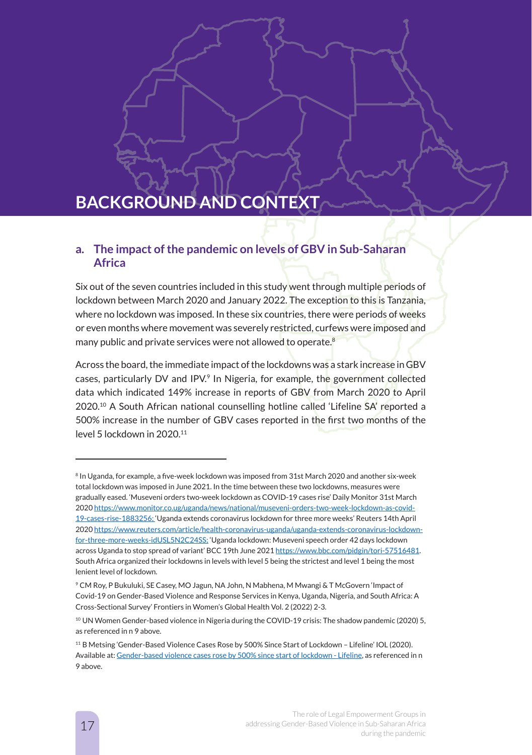# **BACKGROUND AND CONTEXT**

### **a. The impact of the pandemic on levels of GBV in Sub-Saharan Africa**

Six out of the seven countries included in this study went through multiple periods of lockdown between March 2020 and January 2022. The exception to this is Tanzania, where no lockdown was imposed. In these six countries, there were periods of weeks or even months where movement was severely restricted, curfews were imposed and many public and private services were not allowed to operate.8

Across the board, the immediate impact of the lockdowns was a stark increase in GBV cases, particularly DV and IPV.9 In Nigeria, for example, the government collected data which indicated 149% increase in reports of GBV from March 2020 to April 2020.10 A South African national counselling hotline called 'Lifeline SA' reported a 500% increase in the number of GBV cases reported in the first two months of the level 5 lockdown in 2020.<sup>11</sup>

<sup>&</sup>lt;sup>8</sup> In Uganda, for example, a five-week lockdown was imposed from 31st March 2020 and another six-week total lockdown was imposed in June 2021. In the time between these two lockdowns, measures were gradually eased. 'Museveni orders two-week lockdown as COVID-19 cases rise' Daily Monitor 31st March 2020 https://www.monitor.co.ug/uganda/news/national/museveni-orders-two-week-lockdown-as-covid-19-cases-rise-1883256; 'Uganda extends coronavirus lockdown for three more weeks' Reuters 14th April 2020 https://www.reuters.com/article/health-coronavirus-uganda/uganda-extends-coronavirus-lockdownfor-three-more-weeks-idUSL5N2C24SS; 'Uganda lockdown: Museveni speech order 42 days lockdown across Uganda to stop spread of variant' BCC 19th June 2021 https://www.bbc.com/pidgin/tori-57516481. South Africa organized their lockdowns in levels with level 5 being the strictest and level 1 being the most lenient level of lockdown.

<sup>9</sup> CM Roy, P Bukuluki, SE Casey, MO Jagun, NA John, N Mabhena, M Mwangi & T McGovern 'Impact of Covid-19 on Gender-Based Violence and Response Services in Kenya, Uganda, Nigeria, and South Africa: A Cross-Sectional Survey' Frontiers in Women's Global Health Vol. 2 (2022) 2-3.

<sup>&</sup>lt;sup>10</sup> UN Women Gender-based violence in Nigeria during the COVID-19 crisis: The shadow pandemic (2020) 5, as referenced in n 9 above.

<sup>11</sup> B Metsing 'Gender-Based Violence Cases Rose by 500% Since Start of Lockdown – Lifeline' IOL (2020). Available at: Gender-based violence cases rose by 500% since start of lockdown - Lifeline, as referenced in n 9 above.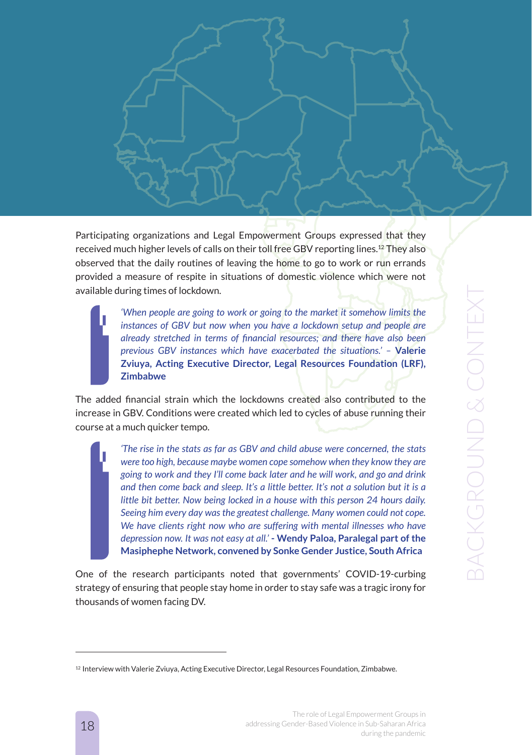Participating organizations and Legal Empowerment Groups expressed that they received much higher levels of calls on their toll free GBV reporting lines.12 They also observed that the daily routines of leaving the home to go to work or run errands provided a measure of respite in situations of domestic violence which were not available during times of lockdown.

> *'When people are going to work or going to the market it somehow limits the instances of GBV but now when you have a lockdown setup and people are already stretched in terms of financial resources; and there have also been previous GBV instances which have exacerbated the situations.' –* **Valerie Zviuya, Acting Executive Director, Legal Resources Foundation (LRF), Zimbabwe**

The added financial strain which the lockdowns created also contributed to the increase in GBV. Conditions were created which led to cycles of abuse running their course at a much quicker tempo.

> *'The rise in the stats as far as GBV and child abuse were concerned, the stats were too high, because maybe women cope somehow when they know they are going to work and they I'll come back later and he will work, and go and drink and then come back and sleep. It's a little better. It's not a solution but it is a little bit better. Now being locked in a house with this person 24 hours daily. Seeing him every day was the greatest challenge. Many women could not cope. We have clients right now who are suffering with mental illnesses who have depression now. It was not easy at all.'* **- Wendy Paloa, Paralegal part of the Masiphephe Network, convened by Sonke Gender Justice, South Africa**

One of the research participants noted that governments' COVID-19-curbing strategy of ensuring that people stay home in order to stay safe was a tragic irony for thousands of women facing DV.

<sup>&</sup>lt;sup>12</sup> Interview with Valerie Zviuya, Acting Executive Director, Legal Resources Foundation, Zimbabwe.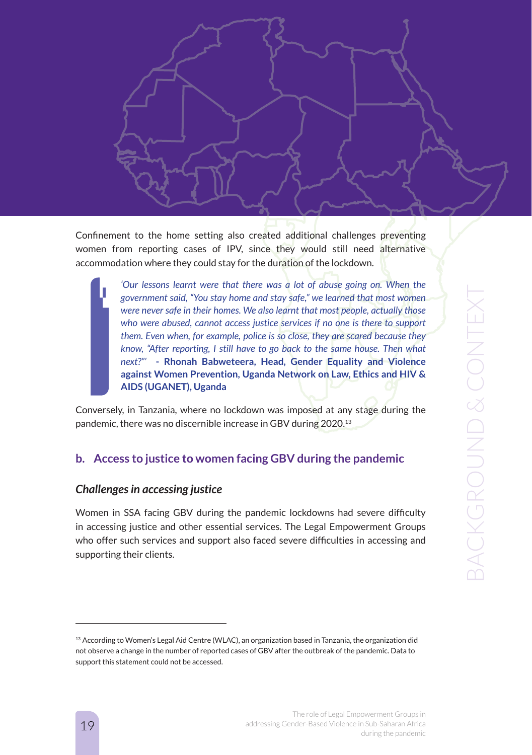Confinement to the home setting also created additional challenges preventing women from reporting cases of IPV, since they would still need alternative accommodation where they could stay for the duration of the lockdown.

> 'Our lessons learnt were that there was a lot of abuse going on. When the *government said, "You stay home and stay safe," we learned that most women were never safe in their homes. We also learnt that most people, actually those who were abused, cannot access justice services if no one is there to support them. Even when, for example, police is so close, they are scared because they know, "After reporting, I still have to go back to the same house. Then what next?"'* **- Rhonah Babweteera, Head, Gender Equality and Violence against Women Prevention, Uganda Network on Law, Ethics and HIV & AIDS (UGANET), Uganda**

Conversely, in Tanzania, where no lockdown was imposed at any stage during the pandemic, there was no discernible increase in GBV during 2020.13

### **b. Access to justice to women facing GBV during the pandemic**

#### *Challenges in accessing justice*

Women in SSA facing GBV during the pandemic lockdowns had severe difficulty in accessing justice and other essential services. The Legal Empowerment Groups who offer such services and support also faced severe difficulties in accessing and supporting their clients.

<sup>&</sup>lt;sup>13</sup> According to Women's Legal Aid Centre (WLAC), an organization based in Tanzania, the organization did not observe a change in the number of reported cases of GBV after the outbreak of the pandemic. Data to support this statement could not be accessed.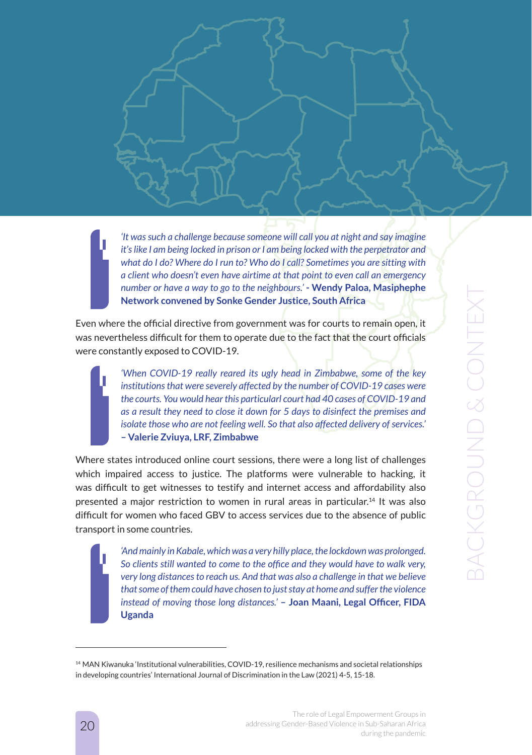*'It was such a challenge because someone will call you at night and say imagine it's like I am being locked in prison or I am being locked with the perpetrator and what do I do? Where do I run to? Who do I call? Sometimes you are sitting with a client who doesn't even have airtime at that point to even call an emergency number or have a way to go to the neighbours.'* **- Wendy Paloa, Masiphephe Network convened by Sonke Gender Justice, South Africa**

Even where the official directive from government was for courts to remain open, it was nevertheless difficult for them to operate due to the fact that the court officials were constantly exposed to COVID-19.

> *'When COVID-19 really reared its ugly head in Zimbabwe, some of the key institutions that were severely affected by the number of COVID-19 cases were the courts. You would hear this particularl court had 40 cases of COVID-19 and as a result they need to close it down for 5 days to disinfect the premises and isolate those who are not feeling well. So that also affected delivery of services.'*  **– Valerie Zviuya, LRF, Zimbabwe**

Where states introduced online court sessions, there were a long list of challenges which impaired access to justice. The platforms were vulnerable to hacking, it was difficult to get witnesses to testify and internet access and affordability also presented a major restriction to women in rural areas in particular.14 It was also difficult for women who faced GBV to access services due to the absence of public transport in some countries.

> *'And mainly in Kabale, which was a very hilly place, the lockdown was prolonged. So clients still wanted to come to the office and they would have to walk very, very long distances to reach us. And that was also a challenge in that we believe that some of them could have chosen to just stay at home and suffer the violence instead of moving those long distances.'* **– Joan Maani, Legal Officer, FIDA Uganda**

<sup>&</sup>lt;sup>14</sup> MAN Kiwanuka 'Institutional vulnerabilities, COVID-19, resilience mechanisms and societal relationships in developing countries' International Journal of Discrimination in the Law (2021) 4-5, 15-18.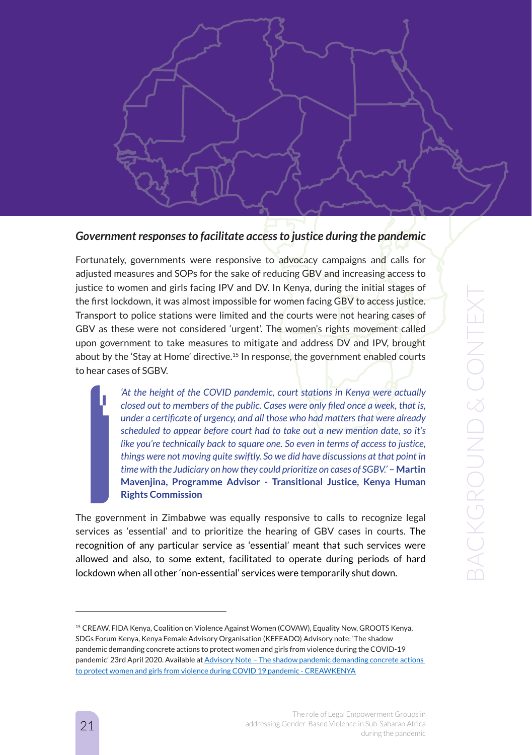

#### *Government responses to facilitate access to justice during the pandemic*

Fortunately, governments were responsive to advocacy campaigns and calls for adjusted measures and SOPs for the sake of reducing GBV and increasing access to justice to women and girls facing IPV and DV. In Kenya, during the initial stages of the first lockdown, it was almost impossible for women facing GBV to access justice. Transport to police stations were limited and the courts were not hearing cases of GBV as these were not considered 'urgent'. The women's rights movement called upon government to take measures to mitigate and address DV and IPV, brought about by the 'Stay at Home' directive.15 In response, the government enabled courts to hear cases of SGBV.

> *'At the height of the COVID pandemic, court stations in Kenya were actually closed out to members of the public. Cases were only filed once a week, that is, under a certificate of urgency, and all those who had matters that were already scheduled to appear before court had to take out a new mention date, so it's like you're technically back to square one. So even in terms of access to justice, things were not moving quite swiftly. So we did have discussions at that point in time with the Judiciary on how they could prioritize on cases of SGBV.'* **– Martin Mavenjina, Programme Advisor - Transitional Justice, Kenya Human Rights Commission**

The government in Zimbabwe was equally responsive to calls to recognize legal services as 'essential' and to prioritize the hearing of GBV cases in courts. The recognition of any particular service as 'essential' meant that such services were allowed and also, to some extent, facilitated to operate during periods of hard lockdown when all other 'non-essential' services were temporarily shut down.

<sup>15</sup> CREAW, FIDA Kenya, Coalition on Violence Against Women (COVAW), Equality Now, GROOTS Kenya, SDGs Forum Kenya, Kenya Female Advisory Organisation (KEFEADO) Advisory note: 'The shadow pandemic demanding concrete actions to protect women and girls from violence during the COVID-19 pandemic' 23rd April 2020. Available at Advisory Note – The shadow pandemic demanding concrete actions to protect women and girls from violence during COVID 19 pandemic - CREAWKENYA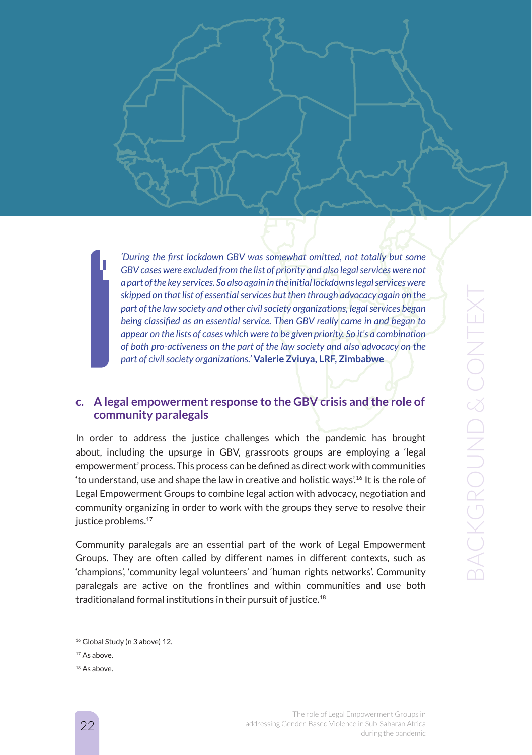*'During the first lockdown GBV was somewhat omitted, not totally but some GBV cases were excluded from the list of priority and also legal services were not a part of the key services. So also again in the initial lockdowns legal services were skipped on that list of essential services but then through advocacy again on the part of the law society and other civil society organizations, legal services began being classified as an essential service. Then GBV really came in and began to appear on the lists of cases which were to be given priority. So it's a combination of both pro-activeness on the part of the law society and also advocacy on the part of civil society organizations.'* **Valerie Zviuya, LRF, Zimbabwe**

### **c. A legal empowerment response to the GBV crisis and the role of community paralegals**

In order to address the justice challenges which the pandemic has brought about, including the upsurge in GBV, grassroots groups are employing a 'legal empowerment' process. This process can be defined as direct work with communities 'to understand, use and shape the law in creative and holistic ways'.16 It is the role of Legal Empowerment Groups to combine legal action with advocacy, negotiation and community organizing in order to work with the groups they serve to resolve their justice problems.<sup>17</sup>

Community paralegals are an essential part of the work of Legal Empowerment Groups. They are often called by different names in different contexts, such as 'champions', 'community legal volunteers' and 'human rights networks'. Community paralegals are active on the frontlines and within communities and use both traditionaland formal institutions in their pursuit of justice.18

<sup>&</sup>lt;sup>16</sup> Global Study (n 3 above) 12.

<sup>&</sup>lt;sup>17</sup> As above.

<sup>&</sup>lt;sup>18</sup> As above.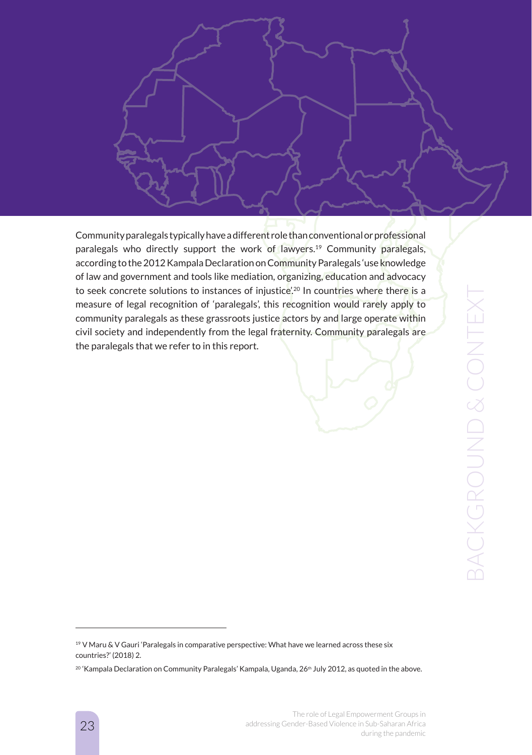

Community paralegals typically have a different role than conventional or professional paralegals who directly support the work of lawyers.<sup>19</sup> Community paralegals, according to the 2012 Kampala Declaration on Community Paralegals 'use knowledge of law and government and tools like mediation, organizing, education and advocacy to seek concrete solutions to instances of injustice'.<sup>20</sup> In countries where there is a measure of legal recognition of 'paralegals', this recognition would rarely apply to community paralegals as these grassroots justice actors by and large operate within civil society and independently from the legal fraternity. Community paralegals are the paralegals that we refer to in this report.

<sup>&</sup>lt;sup>19</sup> V Maru & V Gauri 'Paralegals in comparative perspective: What have we learned across these six countries?' (2018) 2.

<sup>&</sup>lt;sup>20</sup> 'Kampala Declaration on Community Paralegals' Kampala, Uganda, 26<sup>th</sup> July 2012, as quoted in the above.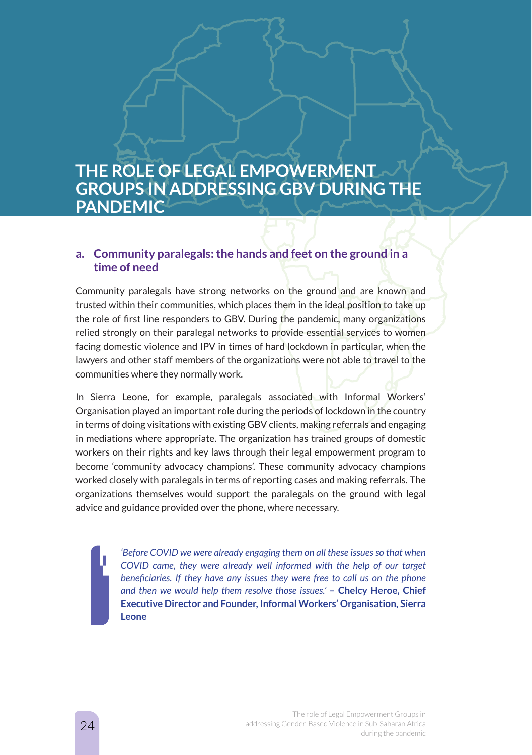# **THE ROLE OF LEGAL EMPOWERMENT GROUPS IN ADDRESSING GBV DURING THE PANDEMIC**

## **a. Community paralegals: the hands and feet on the ground in a time of need**

Community paralegals have strong networks on the ground and are known and trusted within their communities, which places them in the ideal position to take up the role of first line responders to GBV. During the pandemic, many organizations relied strongly on their paralegal networks to provide essential services to women facing domestic violence and IPV in times of hard lockdown in particular, when the lawyers and other staff members of the organizations were not able to travel to the communities where they normally work.

In Sierra Leone, for example, paralegals associated with Informal Workers' Organisation played an important role during the periods of lockdown in the country in terms of doing visitations with existing GBV clients, making referrals and engaging in mediations where appropriate. The organization has trained groups of domestic workers on their rights and key laws through their legal empowerment program to become 'community advocacy champions'. These community advocacy champions worked closely with paralegals in terms of reporting cases and making referrals. The organizations themselves would support the paralegals on the ground with legal advice and guidance provided over the phone, where necessary.

> *'Before COVID we were already engaging them on all these issues so that when COVID came, they were already well informed with the help of our target beneficiaries. If they have any issues they were free to call us on the phone and then we would help them resolve those issues.'* **– Chelcy Heroe, Chief Executive Director and Founder, Informal Workers' Organisation, Sierra Leone**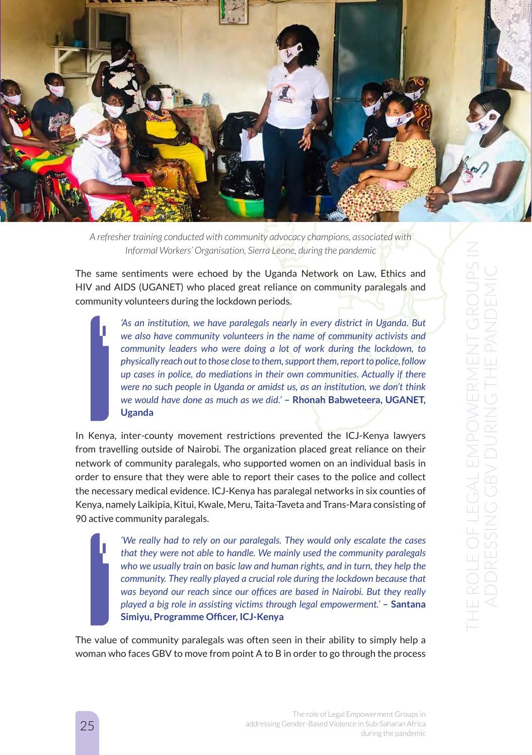

*A refresher training conducted with community advocacy champions, associated with Informal Workers' Organisation, Sierra Leone, during the pandemic*

The same sentiments were echoed by the Uganda Network on Law, Ethics and HIV and AIDS (UGANET) who placed great reliance on community paralegals and community volunteers during the lockdown periods.

> *'As an institution, we have paralegals nearly in every district in Uganda. But we also have community volunteers in the name of community activists and community leaders who were doing a lot of work during the lockdown, to physically reach out to those close to them, support them, report to police, follow up cases in police, do mediations in their own communities. Actually if there were no such people in Uganda or amidst us, as an institution, we don't think we would have done as much as we did.'* **– Rhonah Babweteera, UGANET, Uganda**

In Kenya, inter-county movement restrictions prevented the ICJ-Kenya lawyers from travelling outside of Nairobi. The organization placed great reliance on their network of community paralegals, who supported women on an individual basis in order to ensure that they were able to report their cases to the police and collect the necessary medical evidence. ICJ-Kenya has paralegal networks in six counties of Kenya, namely Laikipia, Kitui, Kwale, Meru, Taita-Taveta and Trans-Mara consisting of 90 active community paralegals.

> *'We really had to rely on our paralegals. They would only escalate the cases that they were not able to handle. We mainly used the community paralegals who we usually train on basic law and human rights, and in turn, they help the community. They really played a crucial role during the lockdown because that was beyond our reach since our offices are based in Nairobi. But they really played a big role in assisting victims through legal empowerment.'* **– Santana Simiyu, Programme Officer, ICJ-Kenya**

The value of community paralegals was often seen in their ability to simply help a woman who faces GBV to move from point A to B in order to go through the process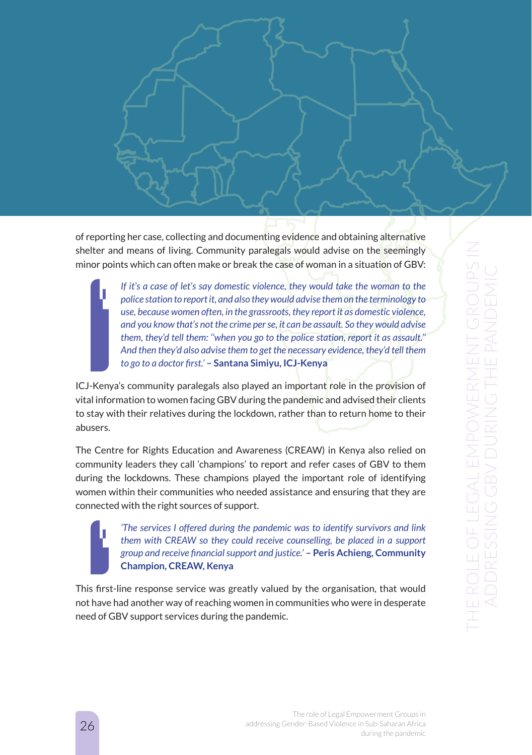of reporting her case, collecting and documenting evidence and obtaining alternative shelter and means of living. Community paralegals would advise on the seemingly minor points which can often make or break the case of woman in a situation of GBV:

> *If it's a case of let's say domestic violence, they would take the woman to the police station to report it, and also they would advise them on the terminology to use, because women often, in the grassroots, they report it as domestic violence, and you know that's not the crime per se, it can be assault. So they would advise them, they'd tell them: ''when you go to the police station, report it as assault.'' And then they'd also advise them to get the necessary evidence, they'd tell them to go to a doctor first.'* **– Santana Simiyu, ICJ-Kenya**

ICJ-Kenya's community paralegals also played an important role in the provision of vital information to women facing GBV during the pandemic and advised their clients to stay with their relatives during the lockdown, rather than to return home to their abusers.

The Centre for Rights Education and Awareness (CREAW) in Kenya also relied on community leaders they call 'champions' to report and refer cases of GBV to them during the lockdowns. These champions played the important role of identifying women within their communities who needed assistance and ensuring that they are connected with the right sources of support.

> *'The services I offered during the pandemic was to identify survivors and link them with CREAW so they could receive counselling, be placed in a support group and receive financial support and justice.'* **– Peris Achieng, Community Champion, CREAW, Kenya**

This first-line response service was greatly valued by the organisation, that would not have had another way of reaching women in communities who were in desperate need of GBV support services during the pandemic.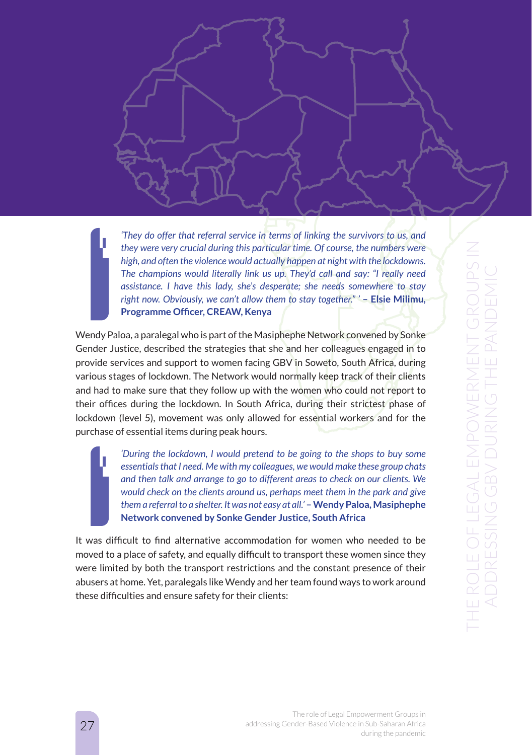*'They do offer that referral service in terms of linking the survivors to us, and they were very crucial during this particular time. Of course, the numbers were high, and often the violence would actually happen at night with the lockdowns. The champions would literally link us up. They'd call and say: "I really need assistance. I have this lady, she's desperate; she needs somewhere to stay right now. Obviously, we can't allow them to stay together." '* **– Elsie Milimu, Programme Officer, CREAW, Kenya**

Wendy Paloa, a paralegal who is part of the Masiphephe Network convened by Sonke Gender Justice, described the strategies that she and her colleagues engaged in to provide services and support to women facing GBV in Soweto, South Africa, during various stages of lockdown. The Network would normally keep track of their clients and had to make sure that they follow up with the women who could not report to their offices during the lockdown. In South Africa, during their strictest phase of lockdown (level 5), movement was only allowed for essential workers and for the purchase of essential items during peak hours.

> *'During the lockdown, I would pretend to be going to the shops to buy some essentials that I need. Me with my colleagues, we would make these group chats and then talk and arrange to go to different areas to check on our clients. We would check on the clients around us, perhaps meet them in the park and give them a referral to a shelter. It was not easy at all.'* **– Wendy Paloa, Masiphephe Network convened by Sonke Gender Justice, South Africa**

It was difficult to find alternative accommodation for women who needed to be moved to a place of safety, and equally difficult to transport these women since they were limited by both the transport restrictions and the constant presence of their abusers at home. Yet, paralegals like Wendy and her team found ways to work around these difficulties and ensure safety for their clients: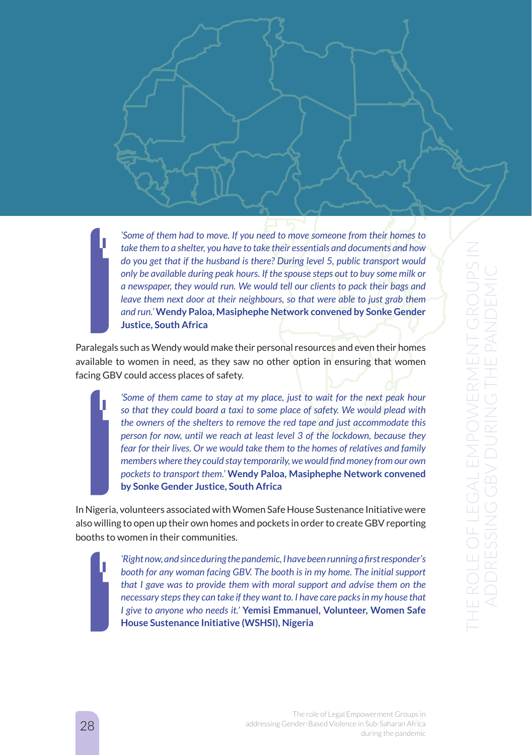*'Some of them had to move. If you need to move someone from their homes to take them to a shelter, you have to take their essentials and documents and how do you get that if the husband is there? During level 5, public transport would only be available during peak hours. If the spouse steps out to buy some milk or a newspaper, they would run. We would tell our clients to pack their bags and leave them next door at their neighbours, so that were able to just grab them and run.'* **Wendy Paloa, Masiphephe Network convened by Sonke Gender Justice, South Africa**

Paralegals such as Wendy would make their personal resources and even their homes available to women in need, as they saw no other option in ensuring that women facing GBV could access places of safety.

> *'Some of them came to stay at my place, just to wait for the next peak hour so that they could board a taxi to some place of safety. We would plead with the owners of the shelters to remove the red tape and just accommodate this person for now, until we reach at least level 3 of the lockdown, because they fear for their lives. Or we would take them to the homes of relatives and family members where they could stay temporarily, we would find money from our own pockets to transport them.'* **Wendy Paloa, Masiphephe Network convened by Sonke Gender Justice, South Africa**

In Nigeria, volunteers associated with Women Safe House Sustenance Initiative were also willing to open up their own homes and pockets in order to create GBV reporting booths to women in their communities.

> *'Right now, and since during the pandemic, I have been running a first responder's booth for any woman facing GBV. The booth is in my home. The initial support that I gave was to provide them with moral support and advise them on the necessary steps they can take if they want to. I have care packs in my house that I give to anyone who needs it.'* **Yemisi Emmanuel, Volunteer, Women Safe House Sustenance Initiative (WSHSI), Nigeria**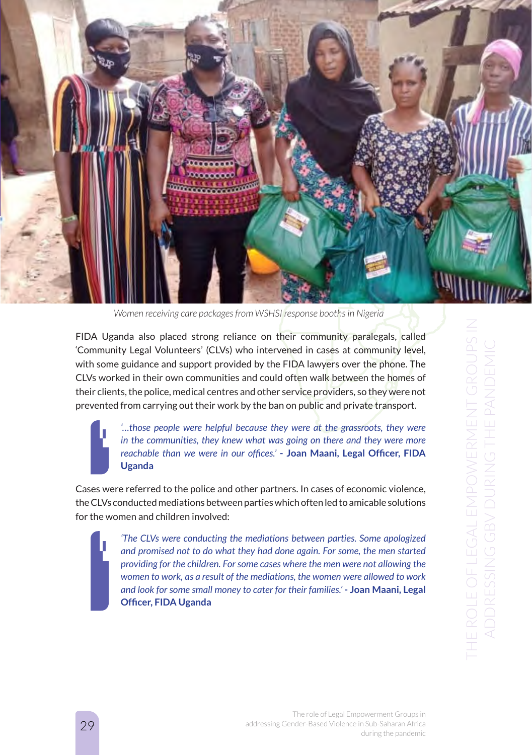

*Women receiving care packages from WSHSI response booths in Nigeria*

FIDA Uganda also placed strong reliance on their community paralegals, called 'Community Legal Volunteers' (CLVs) who intervened in cases at community level, with some guidance and support provided by the FIDA lawyers over the phone. The CLVs worked in their own communities and could often walk between the homes of their clients, the police, medical centres and other service providers, so they were not prevented from carrying out their work by the ban on public and private transport.

> *'…those people were helpful because they were at the grassroots, they were in the communities, they knew what was going on there and they were more reachable than we were in our offices.'* **- Joan Maani, Legal Officer, FIDA Uganda**

Cases were referred to the police and other partners. In cases of economic violence, the CLVs conducted mediations between parties which often led to amicable solutions for the women and children involved:

> *'The CLVs were conducting the mediations between parties. Some apologized and promised not to do what they had done again. For some, the men started providing for the children. For some cases where the men were not allowing the women to work, as a result of the mediations, the women were allowed to work and look for some small money to cater for their families.'* **- Joan Maani, Legal Officer, FIDA Uganda**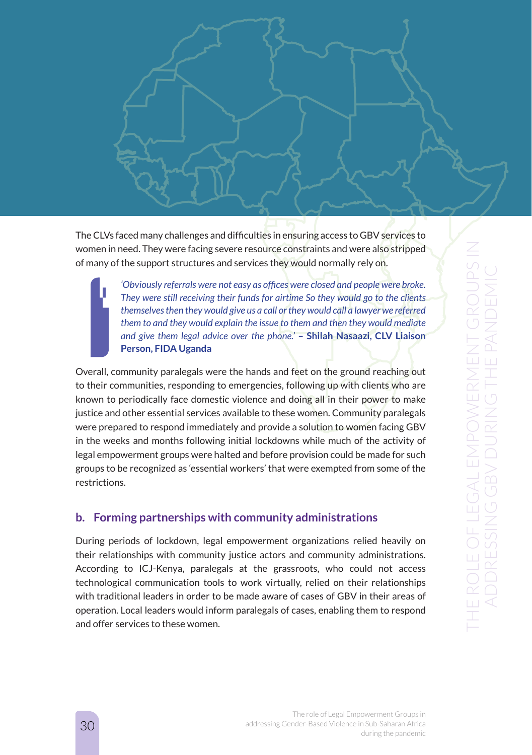

The CLVs faced many challenges and difficulties in ensuring access to GBV services to women in need. They were facing severe resource constraints and were also stripped of many of the support structures and services they would normally rely on.

> *'Obviously referrals were not easy as offices were closed and people were broke. They were still receiving their funds for airtime So they would go to the clients themselves then they would give us a call or they would call a lawyer we referred them to and they would explain the issue to them and then they would mediate and give them legal advice over the phone.'* **– Shilah Nasaazi, CLV Liaison Person, FIDA Uganda**

Overall, community paralegals were the hands and feet on the ground reaching out to their communities, responding to emergencies, following up with clients who are known to periodically face domestic violence and doing all in their power to make justice and other essential services available to these women. Community paralegals were prepared to respond immediately and provide a solution to women facing GBV in the weeks and months following initial lockdowns while much of the activity of legal empowerment groups were halted and before provision could be made for such groups to be recognized as 'essential workers' that were exempted from some of the restrictions.

# **b. Forming partnerships with community administrations**

During periods of lockdown, legal empowerment organizations relied heavily on their relationships with community justice actors and community administrations. According to ICJ-Kenya, paralegals at the grassroots, who could not access technological communication tools to work virtually, relied on their relationships with traditional leaders in order to be made aware of cases of GBV in their areas of operation. Local leaders would inform paralegals of cases, enabling them to respond and offer services to these women.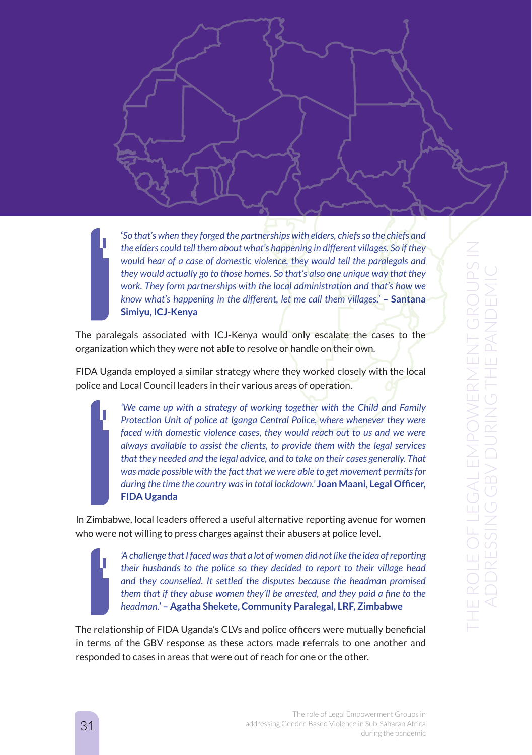**'***So that's when they forged the partnerships with elders, chiefs so the chiefs and the elders could tell them about what's happening in different villages. So if they would hear of a case of domestic violence, they would tell the paralegals and they would actually go to those homes. So that's also one unique way that they work. They form partnerships with the local administration and that's how we know what's happening in the different, let me call them villages.'* **– Santana Simiyu, ICJ-Kenya**

The paralegals associated with ICJ-Kenya would only escalate the cases to the organization which they were not able to resolve or handle on their own.

FIDA Uganda employed a similar strategy where they worked closely with the local police and Local Council leaders in their various areas of operation.

> *'We came up with a strategy of working together with the Child and Family Protection Unit of police at Iganga Central Police, where whenever they were faced with domestic violence cases, they would reach out to us and we were always available to assist the clients, to provide them with the legal services that they needed and the legal advice, and to take on their cases generally. That was made possible with the fact that we were able to get movement permits for during the time the country was in total lockdown.'* **Joan Maani, Legal Officer, FIDA Uganda**

In Zimbabwe, local leaders offered a useful alternative reporting avenue for women who were not willing to press charges against their abusers at police level.

*'A challenge that I faced was that a lot of women did not like the idea of reporting their husbands to the police so they decided to report to their village head and they counselled. It settled the disputes because the headman promised them that if they abuse women they'll be arrested, and they paid a fine to the headman.'* **– Agatha Shekete, Community Paralegal, LRF, Zimbabwe**

The relationship of FIDA Uganda's CLVs and police officers were mutually beneficial in terms of the GBV response as these actors made referrals to one another and responded to cases in areas that were out of reach for one or the other.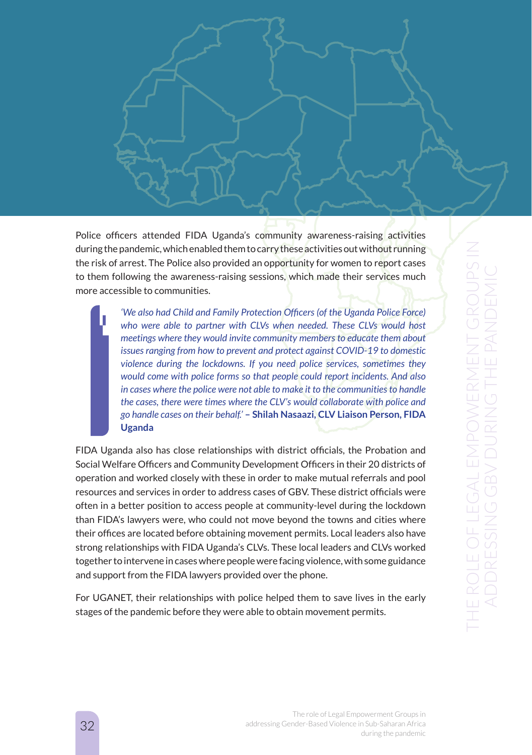

Police officers attended FIDA Uganda's community awareness-raising activities during the pandemic, which enabled them to carry these activities out without running the risk of arrest. The Police also provided an opportunity for women to report cases to them following the awareness-raising sessions, which made their services much more accessible to communities.

> *'We also had Child and Family Protection Officers (of the Uganda Police Force) who were able to partner with CLVs when needed. These CLVs would host meetings where they would invite community members to educate them about issues ranging from how to prevent and protect against COVID-19 to domestic violence during the lockdowns. If you need police services, sometimes they would come with police forms so that people could report incidents. And also in cases where the police were not able to make it to the communities to handle the cases, there were times where the CLV's would collaborate with police and go handle cases on their behalf.'* **– Shilah Nasaazi, CLV Liaison Person, FIDA Uganda**

FIDA Uganda also has close relationships with district officials, the Probation and Social Welfare Officers and Community Development Officers in their 20 districts of operation and worked closely with these in order to make mutual referrals and pool resources and services in order to address cases of GBV. These district officials were often in a better position to access people at community-level during the lockdown than FIDA's lawyers were, who could not move beyond the towns and cities where their offices are located before obtaining movement permits. Local leaders also have strong relationships with FIDA Uganda's CLVs. These local leaders and CLVs worked together to intervene in cases where people were facing violence, with some guidance and support from the FIDA lawyers provided over the phone.

For UGANET, their relationships with police helped them to save lives in the early stages of the pandemic before they were able to obtain movement permits.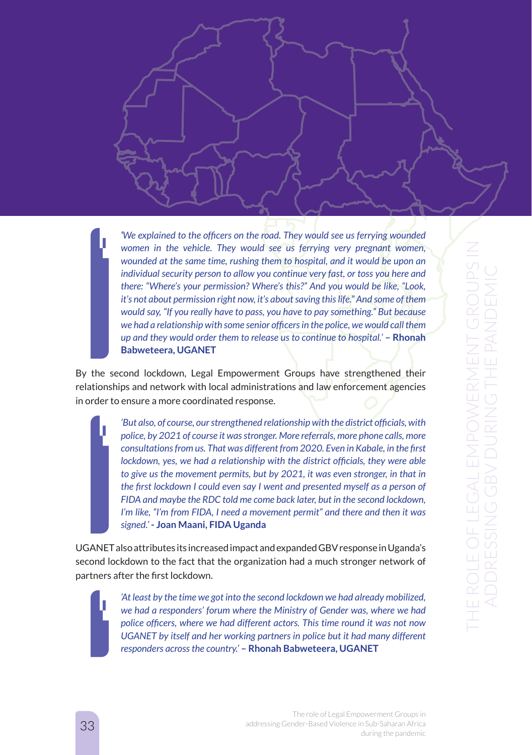*'We explained to the officers on the road. They would see us ferrying wounded women in the vehicle. They would see us ferrying very pregnant women, wounded at the same time, rushing them to hospital, and it would be upon an individual security person to allow you continue very fast, or toss you here and there: "Where's your permission? Where's this?" And you would be like, "Look, it's not about permission right now, it's about saving this life." And some of them would say, "If you really have to pass, you have to pay something." But because we had a relationship with some senior officers in the police, we would call them up and they would order them to release us to continue to hospital.'* – **Rhonah Babweteera, UGANET**

By the second lockdown, Legal Empowerment Groups have strengthened their relationships and network with local administrations and law enforcement agencies in order to ensure a more coordinated response.

> *'But also, of course, our strengthened relationship with the district officials, with police, by 2021 of course it was stronger. More referrals, more phone calls, more consultations from us. That was different from 2020. Even in Kabale, in the first lockdown, yes, we had a relationship with the district officials, they were able to give us the movement permits, but by 2021, it was even stronger, in that in the first lockdown I could even say I went and presented myself as a person of FIDA and maybe the RDC told me come back later, but in the second lockdown, I'm like, "I'm from FIDA, I need a movement permit" and there and then it was signed.'* **- Joan Maani, FIDA Uganda**

UGANET also attributes its increased impact and expanded GBV response in Uganda's second lockdown to the fact that the organization had a much stronger network of partners after the first lockdown.

> *'At least by the time we got into the second lockdown we had already mobilized, we had a responders' forum where the Ministry of Gender was, where we had police officers, where we had different actors. This time round it was not now UGANET by itself and her working partners in police but it had many different responders across the country.'* **– Rhonah Babweteera, UGANET**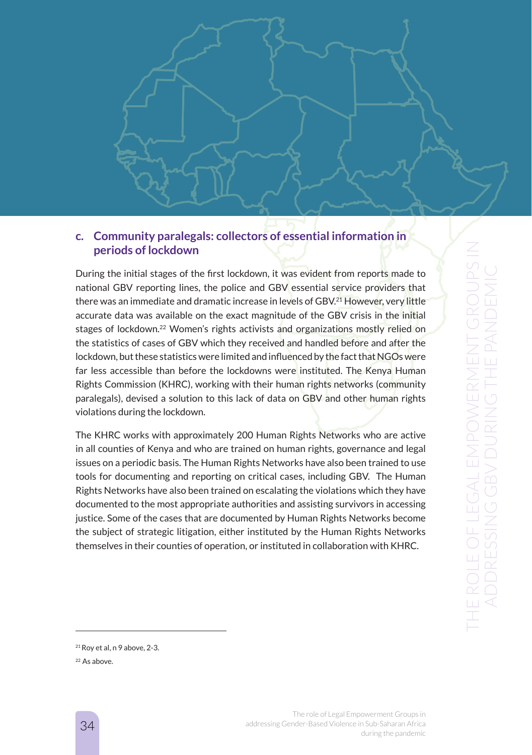

# **c. Community paralegals: collectors of essential information in periods of lockdown**

During the initial stages of the first lockdown, it was evident from reports made to national GBV reporting lines, the police and GBV essential service providers that there was an immediate and dramatic increase in levels of GBV.<sup>21</sup> However, very little accurate data was available on the exact magnitude of the GBV crisis in the initial stages of lockdown.22 Women's rights activists and organizations mostly relied on the statistics of cases of GBV which they received and handled before and after the lockdown, but these statistics were limited and influenced by the fact that NGOs were far less accessible than before the lockdowns were instituted. The Kenya Human Rights Commission (KHRC), working with their human rights networks (community paralegals), devised a solution to this lack of data on GBV and other human rights violations during the lockdown.

The KHRC works with approximately 200 Human Rights Networks who are active in all counties of Kenya and who are trained on human rights, governance and legal issues on a periodic basis. The Human Rights Networks have also been trained to use tools for documenting and reporting on critical cases, including GBV. The Human Rights Networks have also been trained on escalating the violations which they have documented to the most appropriate authorities and assisting survivors in accessing justice. Some of the cases that are documented by Human Rights Networks become the subject of strategic litigation, either instituted by the Human Rights Networks themselves in their counties of operation, or instituted in collaboration with KHRC.

 $21$  Rov et al, n 9 above, 2-3.

<sup>&</sup>lt;sup>22</sup> As above.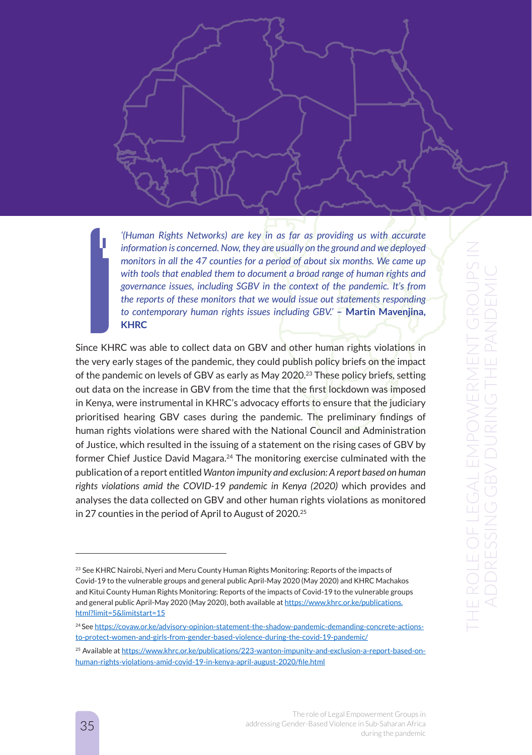*'(Human Rights Networks) are key in as far as providing us with accurate information is concerned. Now, they are usually on the ground and we deployed monitors in all the 47 counties for a period of about six months. We came up with tools that enabled them to document a broad range of human rights and governance issues, including SGBV in the context of the pandemic. It's from the reports of these monitors that we would issue out statements responding to contemporary human rights issues including GBV.'* **– Martin Mavenjina, KHRC**

Since KHRC was able to collect data on GBV and other human rights violations in the very early stages of the pandemic, they could publish policy briefs on the impact of the pandemic on levels of GBV as early as May 2020.23 These policy briefs, setting out data on the increase in GBV from the time that the first lockdown was imposed in Kenya, were instrumental in KHRC's advocacy efforts to ensure that the judiciary prioritised hearing GBV cases during the pandemic. The preliminary findings of human rights violations were shared with the National Council and Administration of Justice, which resulted in the issuing of a statement on the rising cases of GBV by former Chief Justice David Magara.24 The monitoring exercise culminated with the publication of a report entitled *Wanton impunity and exclusion: A report based on human rights violations amid the COVID-19 pandemic in Kenya (2020)* which provides and analyses the data collected on GBV and other human rights violations as monitored in 27 counties in the period of April to August of 2020*.* 25

<sup>&</sup>lt;sup>23</sup> See KHRC Nairobi, Nyeri and Meru County Human Rights Monitoring: Reports of the impacts of Covid-19 to the vulnerable groups and general public April-May 2020 (May 2020) and KHRC Machakos and Kitui County Human Rights Monitoring: Reports of the impacts of Covid-19 to the vulnerable groups and general public April-May 2020 (May 2020), both available at https://www.khrc.or.ke/publications. html?limit=5&limitstart=15

<sup>&</sup>lt;sup>24</sup> See https://covaw.or.ke/advisory-opinion-statement-the-shadow-pandemic-demanding-concrete-actionsto-protect-women-and-girls-from-gender-based-violence-during-the-covid-19-pandemic/

<sup>25</sup> Available at https://www.khrc.or.ke/publications/223-wanton-impunity-and-exclusion-a-report-based-onhuman-rights-violations-amid-covid-19-in-kenya-april-august-2020/file.html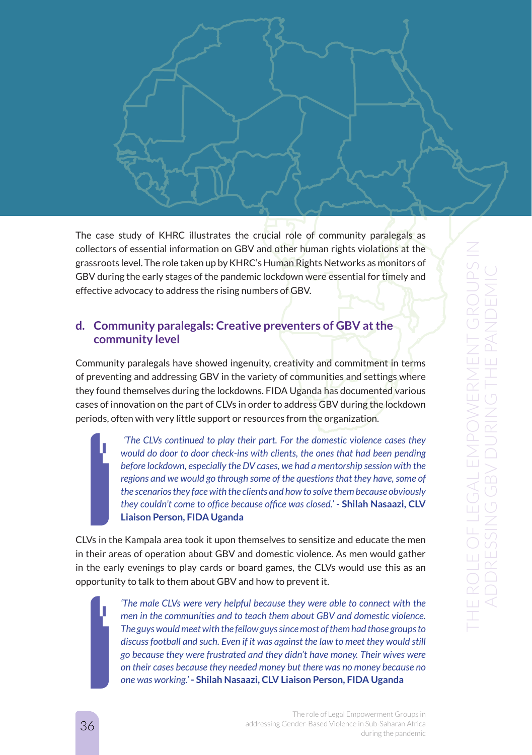The case study of KHRC illustrates the crucial role of community paralegals as collectors of essential information on GBV and other human rights violations at the grassroots level. The role taken up by KHRC's Human Rights Networks as monitors of GBV during the early stages of the pandemic lockdown were essential for timely and effective advocacy to address the rising numbers of GBV.

### **d. Community paralegals: Creative preventers of GBV at the community level**

Community paralegals have showed ingenuity, creativity and commitment in terms of preventing and addressing GBV in the variety of communities and settings where they found themselves during the lockdowns. FIDA Uganda has documented various cases of innovation on the part of CLVs in order to address GBV during the lockdown periods, often with very little support or resources from the organization.

> *'The CLVs continued to play their part. For the domestic violence cases they would do door to door check-ins with clients, the ones that had been pending before lockdown, especially the DV cases, we had a mentorship session with the regions and we would go through some of the questions that they have, some of the scenarios they face with the clients and how to solve them because obviously they couldn't come to office because office was closed.'* **- Shilah Nasaazi, CLV Liaison Person, FIDA Uganda**

CLVs in the Kampala area took it upon themselves to sensitize and educate the men in their areas of operation about GBV and domestic violence. As men would gather in the early evenings to play cards or board games, the CLVs would use this as an opportunity to talk to them about GBV and how to prevent it.

> *'The male CLVs were very helpful because they were able to connect with the men in the communities and to teach them about GBV and domestic violence. The guys would meet with the fellow guys since most of them had those groups to discuss football and such. Even if it was against the law to meet they would still go because they were frustrated and they didn't have money. Their wives were on their cases because they needed money but there was no money because no one was working.'* **- Shilah Nasaazi, CLV Liaison Person, FIDA Uganda**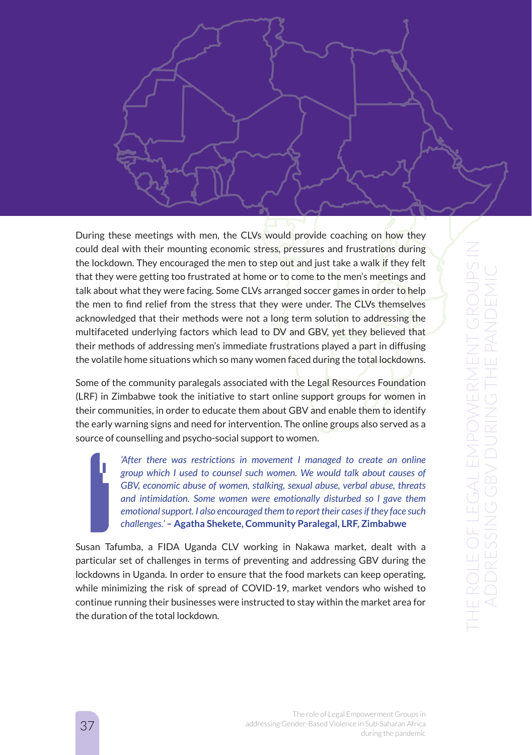

During these meetings with men, the CLVs would provide coaching on how they could deal with their mounting economic stress, pressures and frustrations during the lockdown. They encouraged the men to step out and just take a walk if they felt that they were getting too frustrated at home or to come to the men's meetings and talk about what they were facing. Some CLVs arranged soccer games in order to help the men to find relief from the stress that they were under. The CLVs themselves acknowledged that their methods were not a long term solution to addressing the multifaceted underlying factors which lead to DV and GBV, yet they believed that their methods of addressing men's immediate frustrations played a part in diffusing the volatile home situations which so many women faced during the total lockdowns.

Some of the community paralegals associated with the Legal Resources Foundation (LRF) in Zimbabwe took the initiative to start online support groups for women in their communities, in order to educate them about GBV and enable them to identify the early warning signs and need for intervention. The online groups also served as a source of counselling and psycho-social support to women.

> *'After there was restrictions in movement I managed to create an online group which I used to counsel such women. We would talk about causes of GBV, economic abuse of women, stalking, sexual abuse, verbal abuse, threats and intimidation. Some women were emotionally disturbed so l gave them emotional support. I also encouraged them to report their cases if they face such challenges.'* **– Agatha Shekete, Community Paralegal, LRF, Zimbabwe**

Susan Tafumba, a FIDA Uganda CLV working in Nakawa market, dealt with a particular set of challenges in terms of preventing and addressing GBV during the lockdowns in Uganda. In order to ensure that the food markets can keep operating, while minimizing the risk of spread of COVID-19, market vendors who wished to continue running their businesses were instructed to stay within the market area for the duration of the total lockdown.

> The role of Legal Empowerment Groups in addressing Gender-Based Violence in Sub-Saharan Africa during the pandemic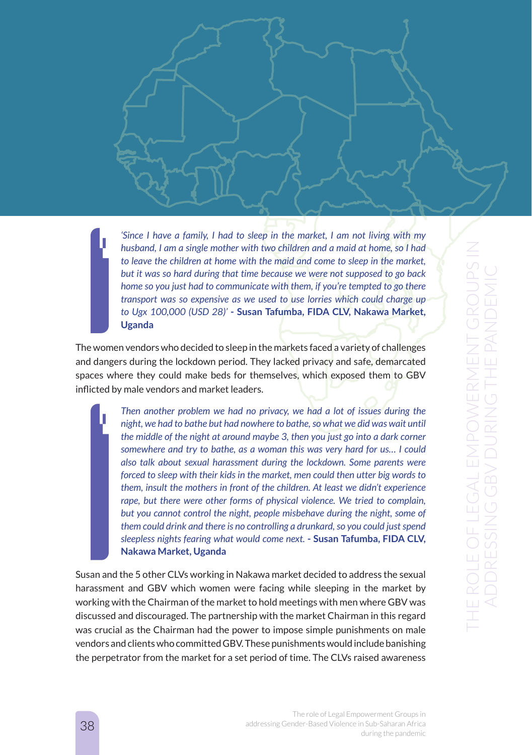*'Since I have a family, I had to sleep in the market, I am not living with my husband, I am a single mother with two children and a maid at home, so I had to leave the children at home with the maid and come to sleep in the market, but it was so hard during that time because we were not supposed to go back home so you just had to communicate with them, if you're tempted to go there transport was so expensive as we used to use lorries which could charge up to Ugx 100,000 (USD 28)'* **- Susan Tafumba, FIDA CLV, Nakawa Market, Uganda**

The women vendors who decided to sleep in the markets faced a variety of challenges and dangers during the lockdown period. They lacked privacy and safe, demarcated spaces where they could make beds for themselves, which exposed them to GBV inflicted by male vendors and market leaders.

> *Then another problem we had no privacy, we had a lot of issues during the night, we had to bathe but had nowhere to bathe, so what we did was wait until the middle of the night at around maybe 3, then you just go into a dark corner somewhere and try to bathe, as a woman this was very hard for us… I could also talk about sexual harassment during the lockdown. Some parents were forced to sleep with their kids in the market, men could then utter big words to them, insult the mothers in front of the children. At least we didn't experience rape, but there were other forms of physical violence. We tried to complain, but you cannot control the night, people misbehave during the night, some of them could drink and there is no controlling a drunkard, so you could just spend sleepless nights fearing what would come next.* **- Susan Tafumba, FIDA CLV, Nakawa Market, Uganda**

Susan and the 5 other CLVs working in Nakawa market decided to address the sexual harassment and GBV which women were facing while sleeping in the market by working with the Chairman of the market to hold meetings with men where GBV was discussed and discouraged. The partnership with the market Chairman in this regard was crucial as the Chairman had the power to impose simple punishments on male vendors and clients who committed GBV. These punishments would include banishing the perpetrator from the market for a set period of time. The CLVs raised awareness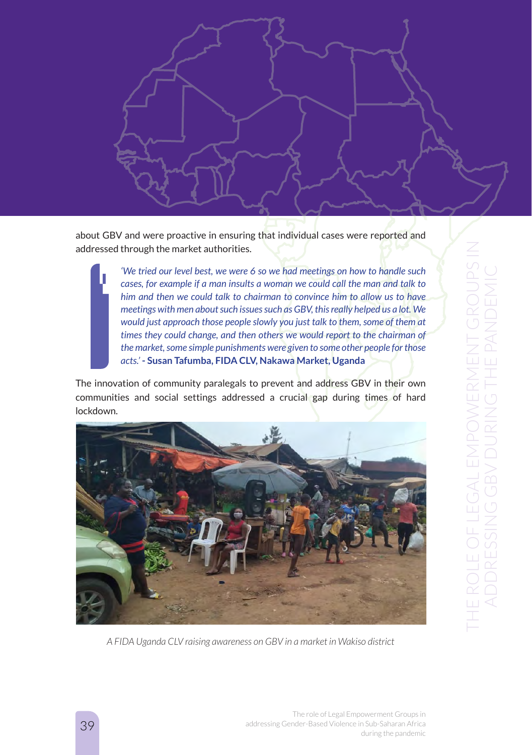

about GBV and were proactive in ensuring that individual cases were reported and addressed through the market authorities.

> *'We tried our level best, we were 6 so we had meetings on how to handle such cases, for example if a man insults a woman we could call the man and talk to him and then we could talk to chairman to convince him to allow us to have meetings with men about such issues such as GBV, this really helped us a lot. We would just approach those people slowly you just talk to them, some of them at times they could change, and then others we would report to the chairman of the market, some simple punishments were given to some other people for those acts.'* **- Susan Tafumba, FIDA CLV, Nakawa Market, Uganda**

The innovation of community paralegals to prevent and address GBV in their own communities and social settings addressed a crucial gap during times of hard lockdown.



*A FIDA Uganda CLV raising awareness on GBV in a market in Wakiso district*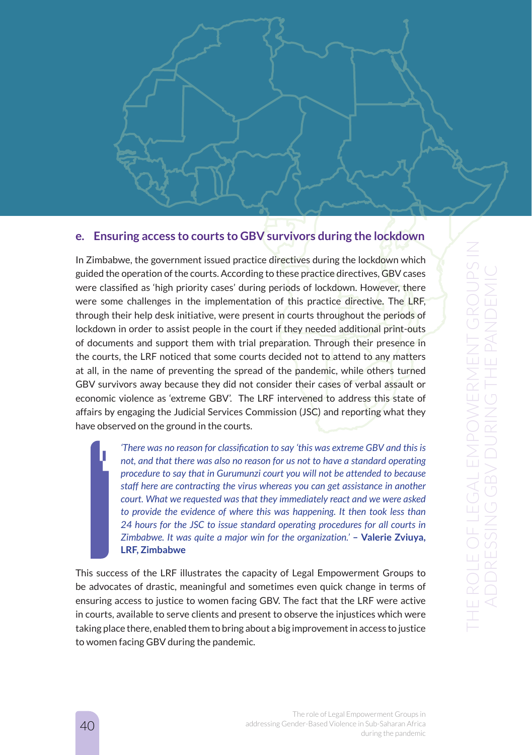

# **e. Ensuring access to courts to GBV survivors during the lockdown**

In Zimbabwe, the government issued practice directives during the lockdown which guided the operation of the courts. According to these practice directives, GBV cases were classified as 'high priority cases' during periods of lockdown. However, there were some challenges in the implementation of this practice directive. The LRF, through their help desk initiative, were present in courts throughout the periods of lockdown in order to assist people in the court if they needed additional print-outs of documents and support them with trial preparation. Through their presence in the courts, the LRF noticed that some courts decided not to attend to any matters at all, in the name of preventing the spread of the pandemic, while others turned GBV survivors away because they did not consider their cases of verbal assault or economic violence as 'extreme GBV'. The LRF intervened to address this state of affairs by engaging the Judicial Services Commission (JSC) and reporting what they have observed on the ground in the courts.

> *'There was no reason for classification to say 'this was extreme GBV and this is not, and that there was also no reason for us not to have a standard operating procedure to say that in Gurumunzi court you will not be attended to because staff here are contracting the virus whereas you can get assistance in another court. What we requested was that they immediately react and we were asked to provide the evidence of where this was happening. It then took less than 24 hours for the JSC to issue standard operating procedures for all courts in Zimbabwe. It was quite a major win for the organization.' - Valerie Zviuya,* **LRF, Zimbabwe**

This success of the LRF illustrates the capacity of Legal Empowerment Groups to be advocates of drastic, meaningful and sometimes even quick change in terms of ensuring access to justice to women facing GBV. The fact that the LRF were active in courts, available to serve clients and present to observe the injustices which were taking place there, enabled them to bring about a big improvement in access to justice to women facing GBV during the pandemic.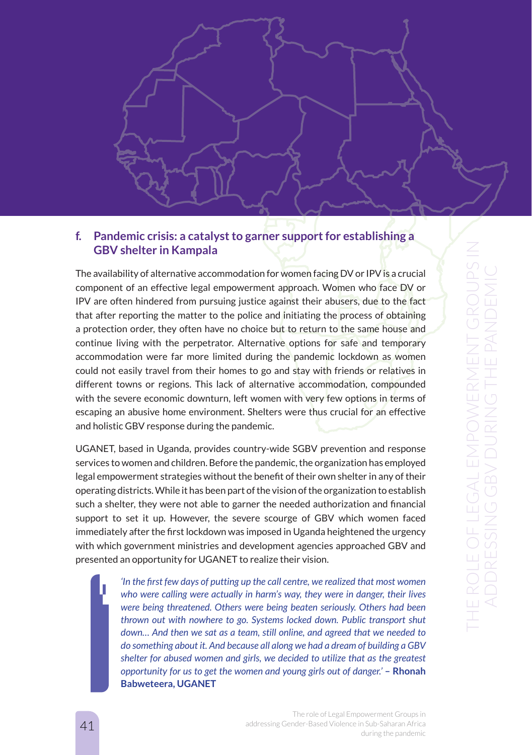

# **f. Pandemic crisis: a catalyst to garner support for establishing a GBV shelter in Kampala**

The availability of alternative accommodation for women facing DV or IPV is a crucial component of an effective legal empowerment approach. Women who face DV or IPV are often hindered from pursuing justice against their abusers, due to the fact that after reporting the matter to the police and initiating the process of obtaining a protection order, they often have no choice but to return to the same house and continue living with the perpetrator. Alternative options for safe and temporary accommodation were far more limited during the pandemic lockdown as women could not easily travel from their homes to go and stay with friends or relatives in different towns or regions. This lack of alternative accommodation, compounded with the severe economic downturn, left women with very few options in terms of escaping an abusive home environment. Shelters were thus crucial for an effective and holistic GBV response during the pandemic.

UGANET, based in Uganda, provides country-wide SGBV prevention and response services to women and children. Before the pandemic, the organization has employed legal empowerment strategies without the benefit of their own shelter in any of their operating districts. While it has been part of the vision of the organization to establish such a shelter, they were not able to garner the needed authorization and financial support to set it up. However, the severe scourge of GBV which women faced immediately after the first lockdown was imposed in Uganda heightened the urgency with which government ministries and development agencies approached GBV and presented an opportunity for UGANET to realize their vision.

> *'In the first few days of putting up the call centre, we realized that most women who were calling were actually in harm's way, they were in danger, their lives were being threatened. Others were being beaten seriously. Others had been thrown out with nowhere to go. Systems locked down. Public transport shut down… And then we sat as a team, still online, and agreed that we needed to do something about it. And because all along we had a dream of building a GBV shelter for abused women and girls, we decided to utilize that as the greatest opportunity for us to get the women and young girls out of danger.'* **– Rhonah Babweteera, UGANET**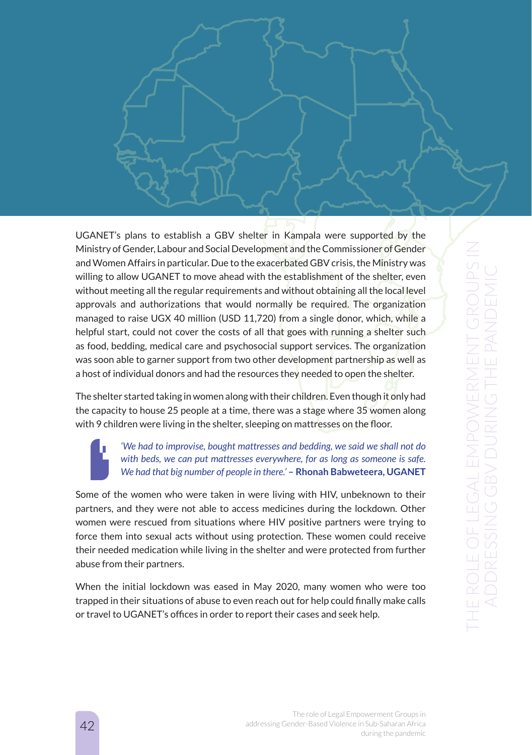UGANET's plans to establish a GBV shelter in Kampala were supported by the Ministry of Gender, Labour and Social Development and the Commissioner of Gender and Women Affairs in particular. Due to the exacerbated GBV crisis, the Ministry was willing to allow UGANET to move ahead with the establishment of the shelter, even without meeting all the regular requirements and without obtaining all the local level approvals and authorizations that would normally be required. The organization managed to raise UGX 40 million (USD 11,720) from a single donor, which, while a helpful start, could not cover the costs of all that goes with running a shelter such as food, bedding, medical care and psychosocial support services. The organization was soon able to garner support from two other development partnership as well as a host of individual donors and had the resources they needed to open the shelter.

The shelter started taking in women along with their children. Even though it only had the capacity to house 25 people at a time, there was a stage where 35 women along with 9 children were living in the shelter, sleeping on mattresses on the floor.

### *'We had to improvise, bought mattresses and bedding, we said we shall not do with beds, we can put mattresses everywhere, for as long as someone is safe. We had that big number of people in there.'* **– Rhonah Babweteera, UGANET**

Some of the women who were taken in were living with HIV, unbeknown to their partners, and they were not able to access medicines during the lockdown. Other women were rescued from situations where HIV positive partners were trying to force them into sexual acts without using protection. These women could receive their needed medication while living in the shelter and were protected from further abuse from their partners.

When the initial lockdown was eased in May 2020, many women who were too trapped in their situations of abuse to even reach out for help could finally make calls or travel to UGANET's offices in order to report their cases and seek help.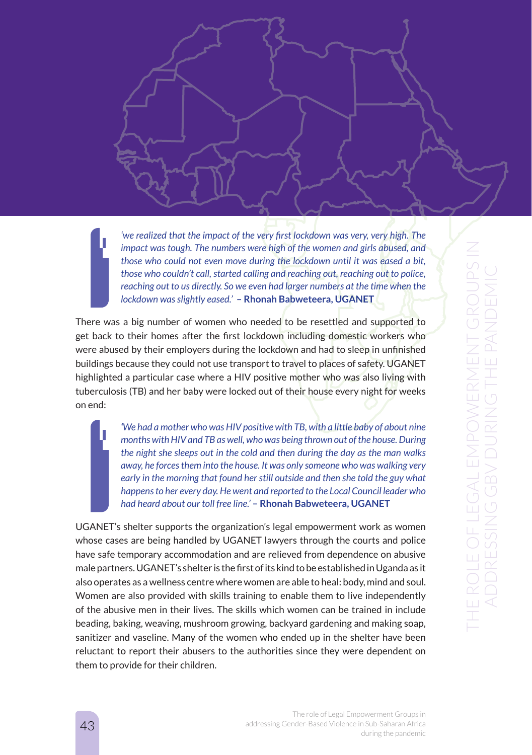*'we realized that the impact of the very first lockdown was very, very high. The impact was tough. The numbers were high of the women and girls abused, and those who could not even move during the lockdown until it was eased a bit, those who couldn't call, started calling and reaching out, reaching out to police, reaching out to us directly. So we even had larger numbers at the time when the lockdown was slightly eased.'* **– Rhonah Babweteera, UGANET**

There was a big number of women who needed to be resettled and supported to get back to their homes after the first lockdown including domestic workers who were abused by their employers during the lockdown and had to sleep in unfinished buildings because they could not use transport to travel to places of safety. UGANET highlighted a particular case where a HIV positive mother who was also living with tuberculosis (TB) and her baby were locked out of their house every night for weeks on end:

> *'We had a mother who was HIV positive with TB, with a little baby of about nine months with HIV and TB as well, who was being thrown out of the house. During the night she sleeps out in the cold and then during the day as the man walks away, he forces them into the house. It was only someone who was walking very early in the morning that found her still outside and then she told the guy what happens to her every day. He went and reported to the Local Council leader who had heard about our toll free line.'* **– Rhonah Babweteera, UGANET**

UGANET's shelter supports the organization's legal empowerment work as women whose cases are being handled by UGANET lawyers through the courts and police have safe temporary accommodation and are relieved from dependence on abusive male partners. UGANET's shelter is the first of its kind to be established in Uganda as it also operates as a wellness centre where women are able to heal: body, mind and soul. Women are also provided with skills training to enable them to live independently of the abusive men in their lives. The skills which women can be trained in include beading, baking, weaving, mushroom growing, backyard gardening and making soap, sanitizer and vaseline. Many of the women who ended up in the shelter have been reluctant to report their abusers to the authorities since they were dependent on them to provide for their children.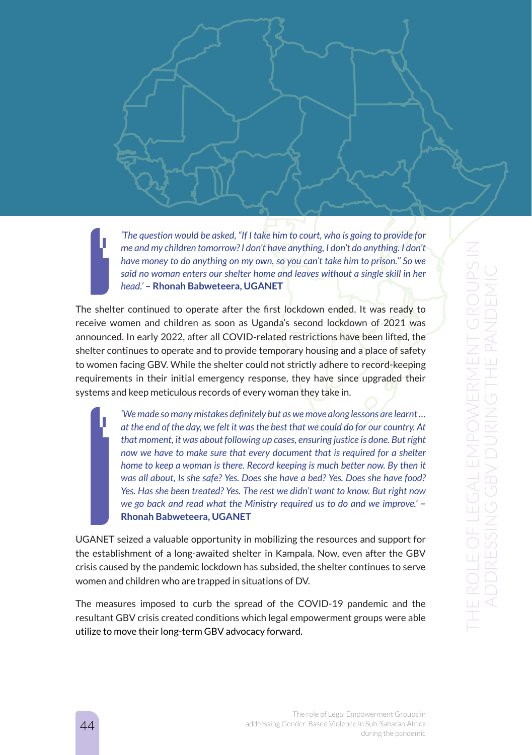*'The question would be asked, "If I take him to court, who is going to provide for me and my children tomorrow? I don't have anything, I don't do anything. I don't have money to do anything on my own, so you can't take him to prison.'' So we said no woman enters our shelter home and leaves without a single skill in her head.'* **– Rhonah Babweteera, UGANET**

The shelter continued to operate after the first lockdown ended. It was ready to receive women and children as soon as Uganda's second lockdown of 2021 was announced. In early 2022, after all COVID-related restrictions have been lifted, the shelter continues to operate and to provide temporary housing and a place of safety to women facing GBV. While the shelter could not strictly adhere to record-keeping requirements in their initial emergency response, they have since upgraded their systems and keep meticulous records of every woman they take in.

> *'We made so many mistakes definitely but as we move along lessons are learnt … at the end of the day, we felt it was the best that we could do for our country. At that moment, it was about following up cases, ensuring justice is done. But right now we have to make sure that every document that is required for a shelter home to keep a woman is there. Record keeping is much better now. By then it was all about, Is she safe? Yes. Does she have a bed? Yes. Does she have food? Yes. Has she been treated? Yes. The rest we didn't want to know. But right now we go back and read what the Ministry required us to do and we improve.'* **– Rhonah Babweteera, UGANET**

UGANET seized a valuable opportunity in mobilizing the resources and support for the establishment of a long-awaited shelter in Kampala. Now, even after the GBV crisis caused by the pandemic lockdown has subsided, the shelter continues to serve women and children who are trapped in situations of DV.

The measures imposed to curb the spread of the COVID-19 pandemic and the resultant GBV crisis created conditions which legal empowerment groups were able utilize to move their long-term GBV advocacy forward.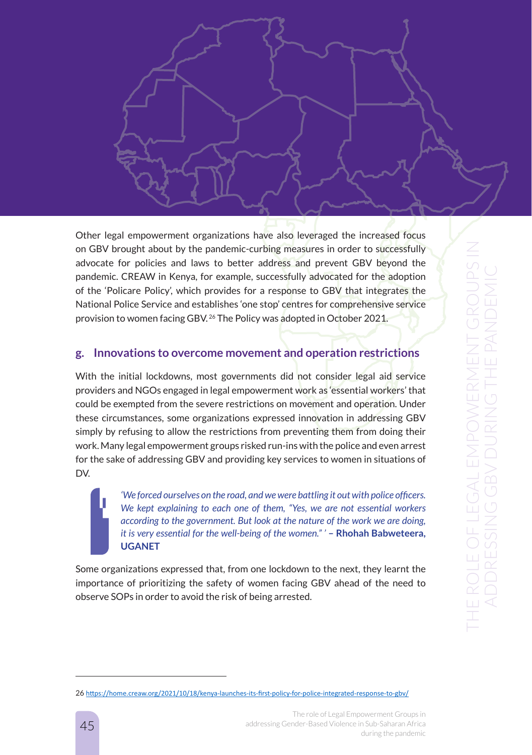

Other legal empowerment organizations have also leveraged the increased focus on GBV brought about by the pandemic-curbing measures in order to successfully advocate for policies and laws to better address and prevent GBV beyond the pandemic. CREAW in Kenya, for example, successfully advocated for the adoption of the 'Policare Policy', which provides for a response to GBV that integrates the National Police Service and establishes 'one stop' centres for comprehensive service provision to women facing GBV. 26 The Policy was adopted in October 2021.

# **g. Innovations to overcome movement and operation restrictions**

With the initial lockdowns, most governments did not consider legal aid service providers and NGOs engaged in legal empowerment work as 'essential workers' that could be exempted from the severe restrictions on movement and operation. Under these circumstances, some organizations expressed innovation in addressing GBV simply by refusing to allow the restrictions from preventing them from doing their work. Many legal empowerment groups risked run-ins with the police and even arrest for the sake of addressing GBV and providing key services to women in situations of DV.

> *'We forced ourselves on the road, and we were battling it out with police officers. We kept explaining to each one of them, "Yes, we are not essential workers according to the government. But look at the nature of the work we are doing, it is very essential for the well-being of the women." ' - Rhohah Babweteera,* **UGANET**

Some organizations expressed that, from one lockdown to the next, they learnt the importance of prioritizing the safety of women facing GBV ahead of the need to observe SOPs in order to avoid the risk of being arrested.

<sup>26</sup> https://home.creaw.org/2021/10/18/kenya-launches-its-first-policy-for-police-integrated-response-to-gbv/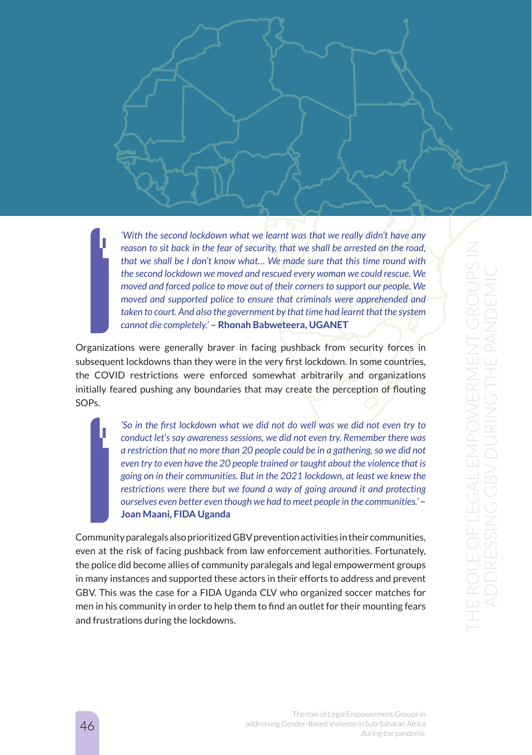*'With the second lockdown what we learnt was that we really didn't have any reason to sit back in the fear of security, that we shall be arrested on the road, that we shall be I don't know what… We made sure that this time round with the second lockdown we moved and rescued every woman we could rescue. We moved and forced police to move out of their corners to support our people. We moved and supported police to ensure that criminals were apprehended and taken to court. And also the government by that time had learnt that the system cannot die completely.'* **– Rhonah Babweteera, UGANET** 

Organizations were generally braver in facing pushback from security forces in subsequent lockdowns than they were in the very first lockdown. In some countries, the COVID restrictions were enforced somewhat arbitrarily and organizations initially feared pushing any boundaries that may create the perception of flouting SOPs.

> *'So in the first lockdown what we did not do well was we did not even try to conduct let's say awareness sessions, we did not even try. Remember there was a restriction that no more than 20 people could be in a gathering, so we did not even try to even have the 20 people trained or taught about the violence that is going on in their communities. But in the 2021 lockdown, at least we knew the restrictions were there but we found a way of going around it and protecting ourselves even better even though we had to meet people in the communities.'* **– Joan Maani, FIDA Uganda**

Community paralegals also prioritized GBV prevention activities in their communities, even at the risk of facing pushback from law enforcement authorities. Fortunately, the police did become allies of community paralegals and legal empowerment groups in many instances and supported these actors in their efforts to address and prevent GBV. This was the case for a FIDA Uganda CLV who organized soccer matches for men in his community in order to help them to find an outlet for their mounting fears and frustrations during the lockdowns.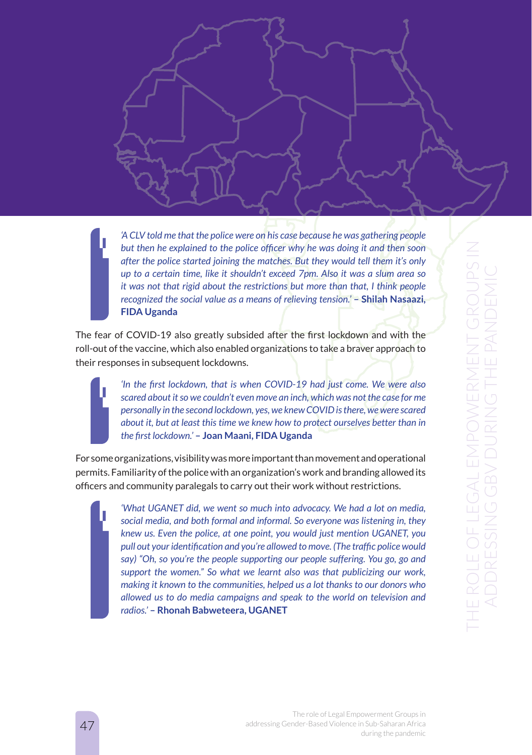*'A CLV told me that the police were on his case because he was gathering people but then he explained to the police officer why he was doing it and then soon after the police started joining the matches. But they would tell them it's only up to a certain time, like it shouldn't exceed 7pm. Also it was a slum area so it was not that rigid about the restrictions but more than that, I think people recognized the social value as a means of relieving tension.'* **– Shilah Nasaazi, FIDA Uganda**

The fear of COVID-19 also greatly subsided after the first lockdown and with the roll-out of the vaccine, which also enabled organizations to take a braver approach to their responses in subsequent lockdowns.

> *'In the first lockdown, that is when COVID-19 had just come. We were also scared about it so we couldn't even move an inch, which was not the case for me personally in the second lockdown, yes, we knew COVID is there, we were scared about it, but at least this time we knew how to protect ourselves better than in the first lockdown.'* **– Joan Maani, FIDA Uganda**

For some organizations, visibility was more important than movement and operational permits. Familiarity of the police with an organization's work and branding allowed its officers and community paralegals to carry out their work without restrictions.

> *'What UGANET did, we went so much into advocacy. We had a lot on media, social media, and both formal and informal. So everyone was listening in, they knew us. Even the police, at one point, you would just mention UGANET, you pull out your identification and you're allowed to move. (The traffic police would say) "Oh, so you're the people supporting our people suffering. You go, go and support the women." So what we learnt also was that publicizing our work, making it known to the communities, helped us a lot thanks to our donors who allowed us to do media campaigns and speak to the world on television and radios.'* **– Rhonah Babweteera, UGANET**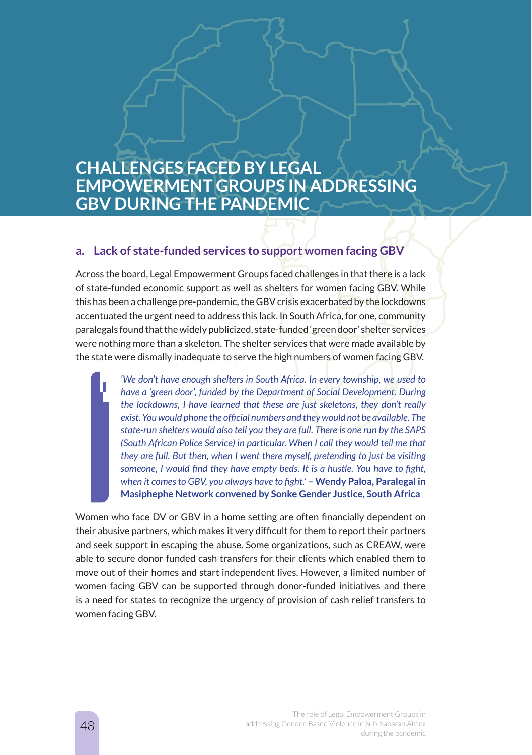# **CHALLENGES FACED BY LEGAL EMPOWERMENT GROUPS IN ADDRESSING GBV DURING THE PANDEMIC**

### **a. Lack of state-funded services to support women facing GBV**

Across the board, Legal Empowerment Groups faced challenges in that there is a lack of state-funded economic support as well as shelters for women facing GBV. While this has been a challenge pre-pandemic, the GBV crisis exacerbated by the lockdowns accentuated the urgent need to address this lack. In South Africa, for one, community paralegals found that the widely publicized, state-funded 'green door' shelter services were nothing more than a skeleton. The shelter services that were made available by the state were dismally inadequate to serve the high numbers of women facing GBV.

> *'We don't have enough shelters in South Africa. In every township, we used to have a 'green door', funded by the Department of Social Development. During the lockdowns, I have learned that these are just skeletons, they don't really exist. You would phone the official numbers and they would not be available. The state-run shelters would also tell you they are full. There is one run by the SAPS (South African Police Service) in particular. When I call they would tell me that they are full. But then, when I went there myself, pretending to just be visiting someone, I would find they have empty beds. It is a hustle. You have to fight, when it comes to GBV, you always have to fight.'* **– Wendy Paloa, Paralegal in Masiphephe Network convened by Sonke Gender Justice, South Africa**

Women who face DV or GBV in a home setting are often financially dependent on their abusive partners, which makes it very difficult for them to report their partners and seek support in escaping the abuse. Some organizations, such as CREAW, were able to secure donor funded cash transfers for their clients which enabled them to move out of their homes and start independent lives. However, a limited number of women facing GBV can be supported through donor-funded initiatives and there is a need for states to recognize the urgency of provision of cash relief transfers to women facing GBV.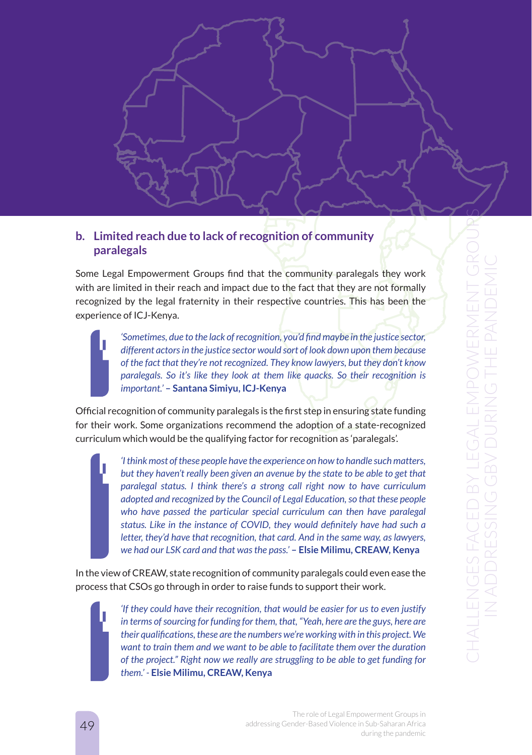

Some Legal Empowerment Groups find that the community paralegals they work with are limited in their reach and impact due to the fact that they are not formally recognized by the legal fraternity in their respective countries. This has been the experience of ICJ-Kenya.

*'Sometimes, due to the lack of recognition, you'd find maybe in the justice sector, different actors in the justice sector would sort of look down upon them because of the fact that they're not recognized. They know lawyers, but they don't know paralegals. So it's like they look at them like auacks. So their recognition is important.'* **– Santana Simiyu, ICJ-Kenya**

Official recognition of community paralegals is the first step in ensuring state funding for their work. Some organizations recommend the adoption of a state-recognized curriculum which would be the qualifying factor for recognition as 'paralegals'.

> *'I think most of these people have the experience on how to handle such matters, but they haven't really been given an avenue by the state to be able to get that paralegal status. I think there's a strong call right now to have curriculum adopted and recognized by the Council of Legal Education, so that these people*  who have passed the particular special curriculum can then have paralegal *status. Like in the instance of COVID, they would definitely have had such a letter, they'd have that recognition, that card. And in the same way, as lawyers, we had our LSK card and that was the pass.'* **– Elsie Milimu, CREAW, Kenya**

In the view of CREAW, state recognition of community paralegals could even ease the process that CSOs go through in order to raise funds to support their work.

> *'If they could have their recognition, that would be easier for us to even justify in terms of sourcing for funding for them, that, "Yeah, here are the guys, here are their qualifications, these are the numbers we're working with in this project. We want to train them and we want to be able to facilitate them over the duration of the project." Right now we really are struggling to be able to get funding for them.' -* **Elsie Milimu, CREAW, Kenya**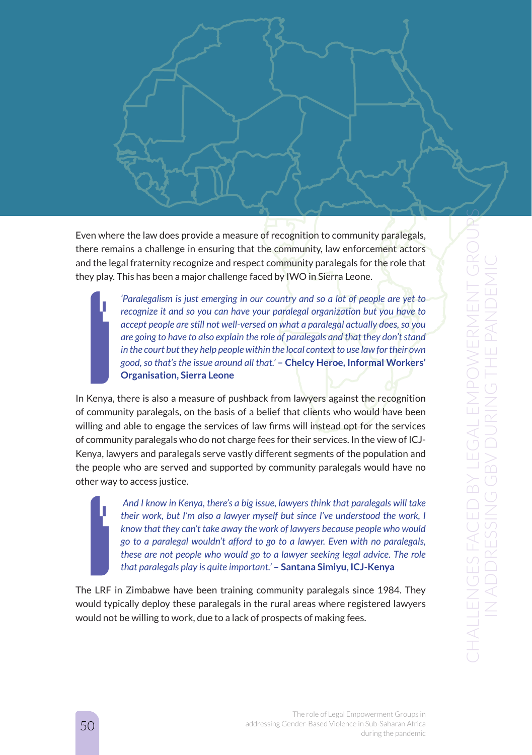

Even where the law does provide a measure of recognition to community paralegals, there remains a challenge in ensuring that the community, law enforcement actors and the legal fraternity recognize and respect community paralegals for the role that they play. This has been a major challenge faced by IWO in Sierra Leone.

> *'Paralegalism is just emerging in our country and so a lot of people are yet to recognize it and so you can have your paralegal organization but you have to accept people are still not well-versed on what a paralegal actually does, so you are going to have to also explain the role of paralegals and that they don't stand in the court but they help people within the local context to use law for their own good, so that's the issue around all that.'* **– Chelcy Heroe, Informal Workers' Organisation, Sierra Leone**

In Kenya, there is also a measure of pushback from lawyers against the recognition of community paralegals, on the basis of a belief that clients who would have been willing and able to engage the services of law firms will instead opt for the services of community paralegals who do not charge fees for their services. In the view of ICJ-Kenya, lawyers and paralegals serve vastly different segments of the population and the people who are served and supported by community paralegals would have no other way to access justice.

> *And I know in Kenya, there's a big issue, lawyers think that paralegals will take their work, but I'm also a lawyer myself but since I've understood the work, I know that they can't take away the work of lawyers because people who would go to a paralegal wouldn't afford to go to a lawyer. Even with no paralegals, these are not people who would go to a lawyer seeking legal advice. The role that paralegals play is quite important.'* **– Santana Simiyu, ICJ-Kenya**

The LRF in Zimbabwe have been training community paralegals since 1984. They would typically deploy these paralegals in the rural areas where registered lawyers would not be willing to work, due to a lack of prospects of making fees.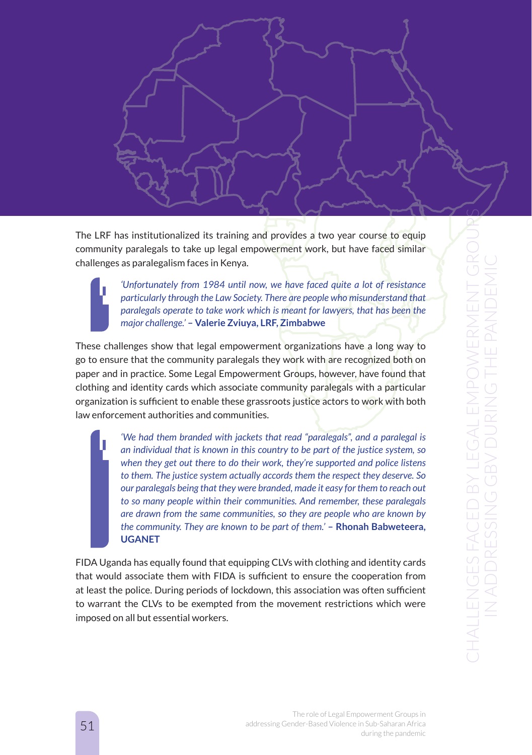

The LRF has institutionalized its training and provides a two year course to equip community paralegals to take up legal empowerment work, but have faced similar challenges as paralegalism faces in Kenya.

*'Unfortunately from 1984 until now, we have faced quite a lot of resistance particularly through the Law Society. There are people who misunderstand that paralegals operate to take work which is meant for lawyers, that has been the major challenge.'* **– Valerie Zviuya, LRF, Zimbabwe**

These challenges show that legal empowerment organizations have a long way to go to ensure that the community paralegals they work with are recognized both on paper and in practice. Some Legal Empowerment Groups, however, have found that clothing and identity cards which associate community paralegals with a particular organization is sufficient to enable these grassroots justice actors to work with both law enforcement authorities and communities.

> *'We had them branded with jackets that read "paralegals", and a paralegal is an individual that is known in this country to be part of the justice system, so when they get out there to do their work, they're supported and police listens to them. The justice system actually accords them the respect they deserve. So our paralegals being that they were branded, made it easy for them to reach out to so many people within their communities. And remember, these paralegals are drawn from the same communities, so they are people who are known by the community. They are known to be part of them.'* **– Rhonah Babweteera, UGANET**

FIDA Uganda has equally found that equipping CLVs with clothing and identity cards that would associate them with FIDA is sufficient to ensure the cooperation from at least the police. During periods of lockdown, this association was often sufficient to warrant the CLVs to be exempted from the movement restrictions which were imposed on all but essential workers.

> The role of Legal Empowerment Groups in addressing Gender-Based Violence in Sub-Saharan Africa during the pandemic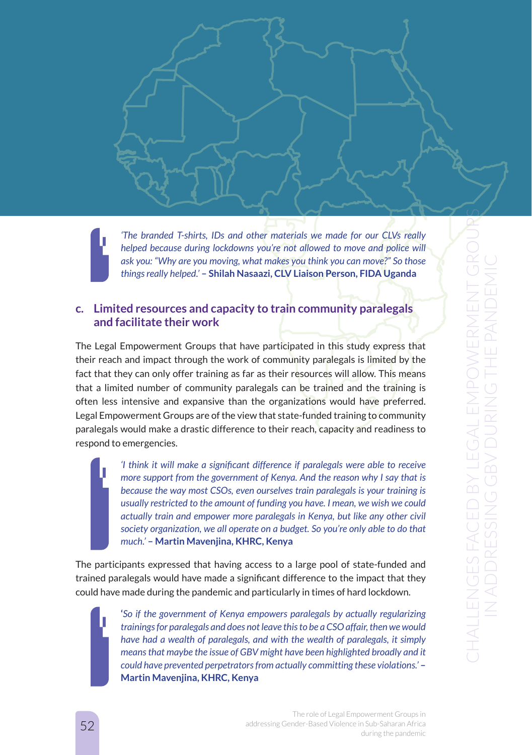*'The branded T-shirts, IDs and other materials we made for our CLVs really helped because during lockdowns you're not allowed to move and police will ask you: "Why are you moving, what makes you think you can move?" So those things really helped.'* **– Shilah Nasaazi, CLV Liaison Person, FIDA Uganda** 

### **c. Limited resources and capacity to train community paralegals and facilitate their work**

The Legal Empowerment Groups that have participated in this study express that their reach and impact through the work of community paralegals is limited by the fact that they can only offer training as far as their resources will allow. This means that a limited number of community paralegals can be trained and the training is often less intensive and expansive than the organizations would have preferred. Legal Empowerment Groups are of the view that state-funded training to community paralegals would make a drastic difference to their reach, capacity and readiness to respond to emergencies.

> *'I think it will make a significant difference if paralegals were able to receive more support from the government of Kenya. And the reason why I say that is because the way most CSOs, even ourselves train paralegals is your training is usually restricted to the amount of funding you have. I mean, we wish we could actually train and empower more paralegals in Kenya, but like any other civil society organization, we all operate on a budget. So you're only able to do that much.'* **– Martin Mavenjina, KHRC, Kenya**

The participants expressed that having access to a large pool of state-funded and trained paralegals would have made a significant difference to the impact that they could have made during the pandemic and particularly in times of hard lockdown.

> **'***So if the government of Kenya empowers paralegals by actually regularizing trainings for paralegals and does not leave this to be a CSO affair, then we would have had a wealth of paralegals, and with the wealth of paralegals, it simply means that maybe the issue of GBV might have been highlighted broadly and it could have prevented perpetrators from actually committing these violations.'* **– Martin Mavenjina, KHRC, Kenya**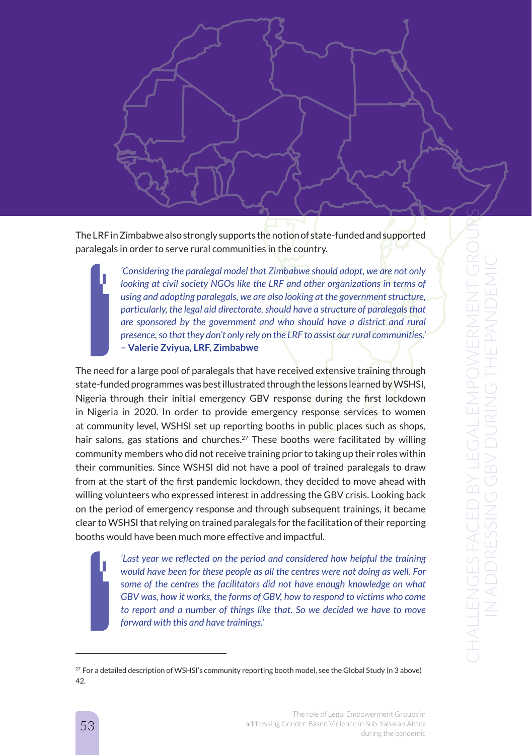

The LRF in Zimbabwe also strongly supports the notion of state-funded and supported paralegals in order to serve rural communities in the country.

> *'Considering the paralegal model that Zimbabwe should adopt, we are not only looking at civil society NGOs like the LRF and other organizations in terms of using and adopting paralegals, we are also looking at the government structure, particularly, the legal aid directorate, should have a structure of paralegals that are sponsored by the government and who should have a district and rural presence, so that they don't only rely on the LRF to assist our rural communities.'*  **– Valerie Zviyua, LRF, Zimbabwe**

The need for a large pool of paralegals that have received extensive training through state-funded programmes was best illustrated through the lessons learned by WSHSI, Nigeria through their initial emergency GBV response during the first lockdown in Nigeria in 2020. In order to provide emergency response services to women at community level, WSHSI set up reporting booths in public places such as shops, hair salons, gas stations and churches.<sup>27</sup> These booths were facilitated by willing community members who did not receive training prior to taking up their roles within their communities. Since WSHSI did not have a pool of trained paralegals to draw from at the start of the first pandemic lockdown, they decided to move ahead with willing volunteers who expressed interest in addressing the GBV crisis. Looking back on the period of emergency response and through subsequent trainings, it became clear to WSHSI that relying on trained paralegals for the facilitation of their reporting booths would have been much more effective and impactful.

> *'Last year we reflected on the period and considered how helpful the training would have been for these people as all the centres were not doing as well. For some of the centres the facilitators did not have enough knowledge on what GBV was, how it works, the forms of GBV, how to respond to victims who come to report and a number of things like that. So we decided we have to move forward with this and have trainings.'*

 $27$  For a detailed description of WSHSI's community reporting booth model, see the Global Study (n 3 above) 42.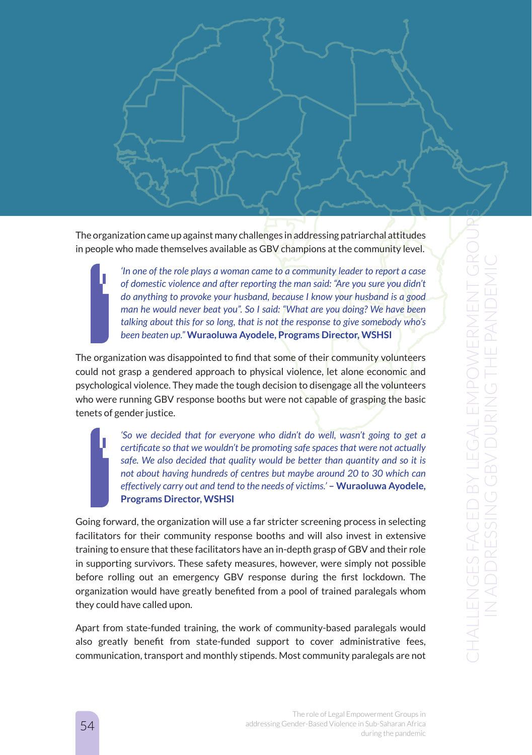The organization came up against many challenges in addressing patriarchal attitudes in people who made themselves available as GBV champions at the community level.

> *'In one of the role plays a woman came to a community leader to report a case of domestic violence and after reporting the man said: "Are you sure you didn't do anything to provoke your husband, because I know your husband is a good man he would never beat you". So I said: "What are you doing? We have been talking about this for so long, that is not the response to give somebody who's been beaten up."* **Wuraoluwa Ayodele, Programs Director, WSHSI**

The organization was disappointed to find that some of their community volunteers could not grasp a gendered approach to physical violence, let alone economic and psychological violence. They made the tough decision to disengage all the volunteers who were running GBV response booths but were not capable of grasping the basic tenets of gender justice.

> *'So we decided that for everyone who didn't do well, wasn't going to get a certificate so that we wouldn't be promoting safe spaces that were not actually*  safe. We also decided that quality would be better than quantity and so it is *not about having hundreds of centres but maybe around 20 to 30 which can effectively carry out and tend to the needs of victims.'* - Wuraoluwa Ayodele, **Programs Director, WSHSI**

Going forward, the organization will use a far stricter screening process in selecting facilitators for their community response booths and will also invest in extensive training to ensure that these facilitators have an in-depth grasp of GBV and their role in supporting survivors. These safety measures, however, were simply not possible before rolling out an emergency GBV response during the first lockdown. The organization would have greatly benefited from a pool of trained paralegals whom they could have called upon.

Apart from state-funded training, the work of community-based paralegals would also greatly benefit from state-funded support to cover administrative fees, communication, transport and monthly stipends. Most community paralegals are not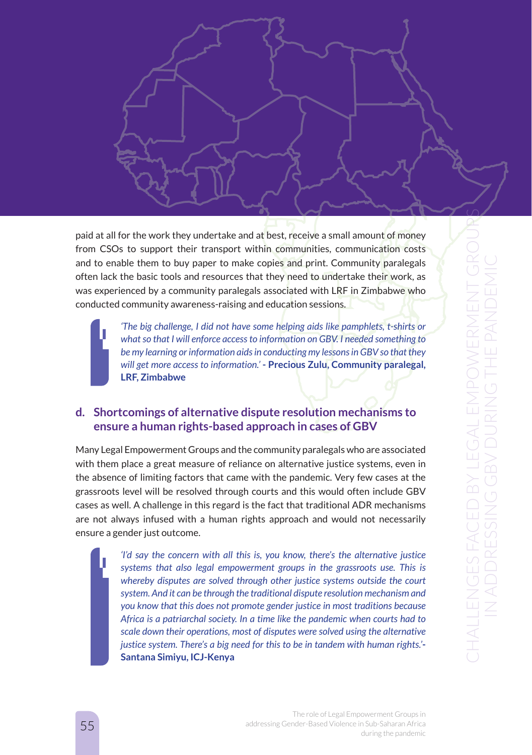paid at all for the work they undertake and at best, receive a small amount of money from CSOs to support their transport within communities, communication costs and to enable them to buy paper to make copies and print. Community paralegals often lack the basic tools and resources that they need to undertake their work, as was experienced by a community paralegals associated with LRF in Zimbabwe who conducted community awareness-raising and education sessions.

*'The big challenge, I did not have some helping aids like pamphlets, t-shirts or what so that I will enforce access to information on GBV. I needed something to be my learning or information aids in conducting my lessons in GBV so that they will get more access to information.'* **- Precious Zulu, Community paralegal, LRF, Zimbabwe**

## **d. Shortcomings of alternative dispute resolution mechanisms to ensure a human rights-based approach in cases of GBV**

Many Legal Empowerment Groups and the community paralegals who are associated with them place a great measure of reliance on alternative justice systems, even in the absence of limiting factors that came with the pandemic. Very few cases at the grassroots level will be resolved through courts and this would often include GBV cases as well. A challenge in this regard is the fact that traditional ADR mechanisms are not always infused with a human rights approach and would not necessarily ensure a gender just outcome.

> *'I'd say the concern with all this is, you know, there's the alternative justice systems that also legal empowerment groups in the grassroots use. This is whereby disputes are solved through other justice systems outside the court system. And it can be through the traditional dispute resolution mechanism and you know that this does not promote gender justice in most traditions because Africa is a patriarchal society. In a time like the pandemic when courts had to scale down their operations, most of disputes were solved using the alternative justice system. There's a big need for this to be in tandem with human rights.'***- Santana Simiyu, ICJ-Kenya**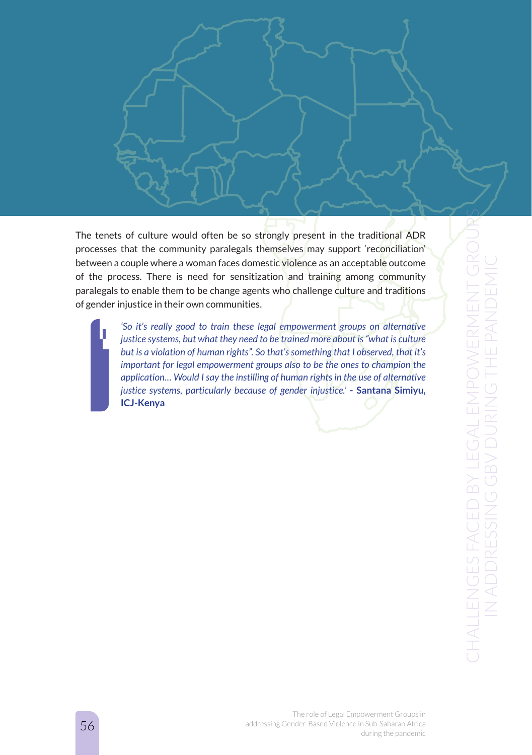

The tenets of culture would often be so strongly present in the traditional ADR processes that the community paralegals themselves may support 'reconciliation' between a couple where a woman faces domestic violence as an acceptable outcome of the process. There is need for sensitization and training among community paralegals to enable them to be change agents who challenge culture and traditions of gender injustice in their own communities.

> 'So it's really good to train these legal empowerment groups on alternative *justice systems, but what they need to be trained more about is "what is culture but is a violation of human rights". So that's something that I observed, that it's important for legal empowerment groups also to be the ones to champion the application… Would I say the instilling of human rights in the use of alternative justice systems, particularly because of gender injustice.'* **- Santana Simiyu, ICJ-Kenya**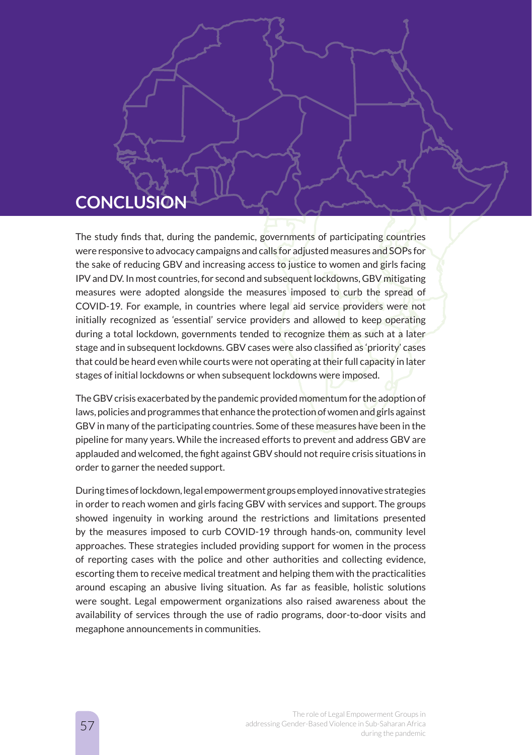# **CONCLUSION**

The study finds that, during the pandemic, governments of participating countries were responsive to advocacy campaigns and calls for adjusted measures and SOPs for the sake of reducing GBV and increasing access to justice to women and girls facing IPV and DV. In most countries, for second and subsequent lockdowns, GBV mitigating measures were adopted alongside the measures imposed to curb the spread of COVID-19. For example, in countries where legal aid service providers were not initially recognized as 'essential' service providers and allowed to keep operating during a total lockdown, governments tended to recognize them as such at a later stage and in subsequent lockdowns. GBV cases were also classified as 'priority' cases that could be heard even while courts were not operating at their full capacity in later stages of initial lockdowns or when subsequent lockdowns were imposed.

The GBV crisis exacerbated by the pandemic provided momentum for the adoption of laws, policies and programmes that enhance the protection of women and girls against GBV in many of the participating countries. Some of these measures have been in the pipeline for many years. While the increased efforts to prevent and address GBV are applauded and welcomed, the fight against GBV should not require crisis situations in order to garner the needed support.

During times of lockdown, legal empowerment groups employed innovative strategies in order to reach women and girls facing GBV with services and support. The groups showed ingenuity in working around the restrictions and limitations presented by the measures imposed to curb COVID-19 through hands-on, community level approaches. These strategies included providing support for women in the process of reporting cases with the police and other authorities and collecting evidence, escorting them to receive medical treatment and helping them with the practicalities around escaping an abusive living situation. As far as feasible, holistic solutions were sought. Legal empowerment organizations also raised awareness about the availability of services through the use of radio programs, door-to-door visits and megaphone announcements in communities.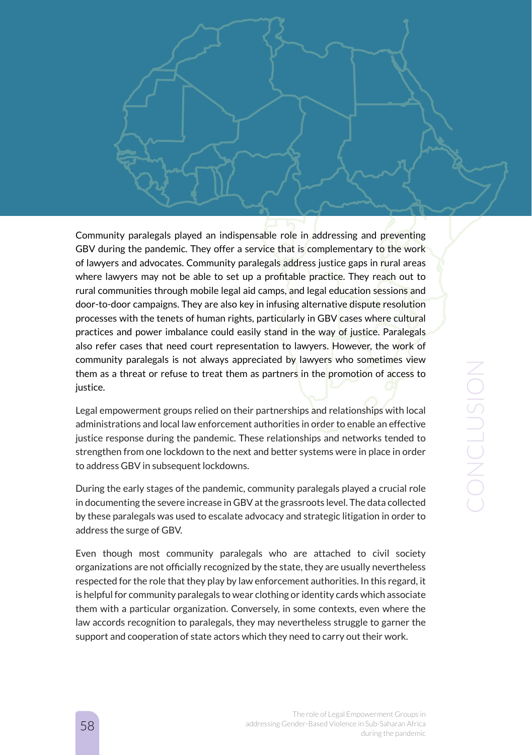CONCLUSION CONCLUSION

Community paralegals played an indispensable role in addressing and preventing GBV during the pandemic. They offer a service that is complementary to the work of lawyers and advocates. Community paralegals address justice gaps in rural areas where lawyers may not be able to set up a profitable practice. They reach out to rural communities through mobile legal aid camps, and legal education sessions and door-to-door campaigns. They are also key in infusing alternative dispute resolution processes with the tenets of human rights, particularly in GBV cases where cultural practices and power imbalance could easily stand in the way of justice. Paralegals also refer cases that need court representation to lawyers. However, the work of community paralegals is not always appreciated by lawyers who sometimes view them as a threat or refuse to treat them as partners in the promotion of access to justice.

Legal empowerment groups relied on their partnerships and relationships with local administrations and local law enforcement authorities in order to enable an effective justice response during the pandemic. These relationships and networks tended to strengthen from one lockdown to the next and better systems were in place in order to address GBV in subsequent lockdowns.

During the early stages of the pandemic, community paralegals played a crucial role in documenting the severe increase in GBV at the grassroots level. The data collected by these paralegals was used to escalate advocacy and strategic litigation in order to address the surge of GBV.

Even though most community paralegals who are attached to civil society organizations are not officially recognized by the state, they are usually nevertheless respected for the role that they play by law enforcement authorities. In this regard, it is helpful for community paralegals to wear clothing or identity cards which associate them with a particular organization. Conversely, in some contexts, even where the law accords recognition to paralegals, they may nevertheless struggle to garner the support and cooperation of state actors which they need to carry out their work.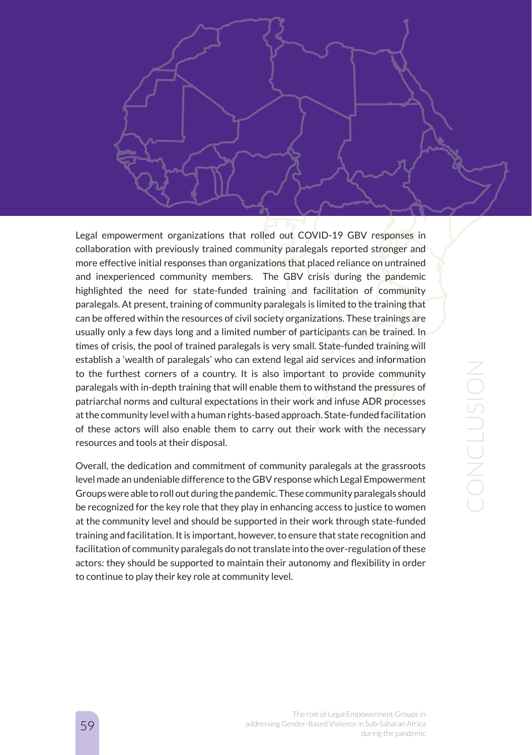Legal empowerment organizations that rolled out COVID-19 GBV responses in collaboration with previously trained community paralegals reported stronger and more effective initial responses than organizations that placed reliance on untrained and inexperienced community members. The GBV crisis during the pandemic highlighted the need for state-funded training and facilitation of community paralegals. At present, training of community paralegals is limited to the training that can be offered within the resources of civil society organizations. These trainings are usually only a few days long and a limited number of participants can be trained. In times of crisis, the pool of trained paralegals is very small. State-funded training will establish a 'wealth of paralegals' who can extend legal aid services and information to the furthest corners of a country. It is also important to provide community paralegals with in-depth training that will enable them to withstand the pressures of patriarchal norms and cultural expectations in their work and infuse ADR processes at the community level with a human rights-based approach. State-funded facilitation of these actors will also enable them to carry out their work with the necessary resources and tools at their disposal.

Overall, the dedication and commitment of community paralegals at the grassroots level made an undeniable difference to the GBV response which Legal Empowerment Groups were able to roll out during the pandemic. These community paralegals should be recognized for the key role that they play in enhancing access to justice to women at the community level and should be supported in their work through state-funded training and facilitation. It is important, however, to ensure that state recognition and facilitation of community paralegals do not translate into the over-regulation of these actors: they should be supported to maintain their autonomy and flexibility in order to continue to play their key role at community level.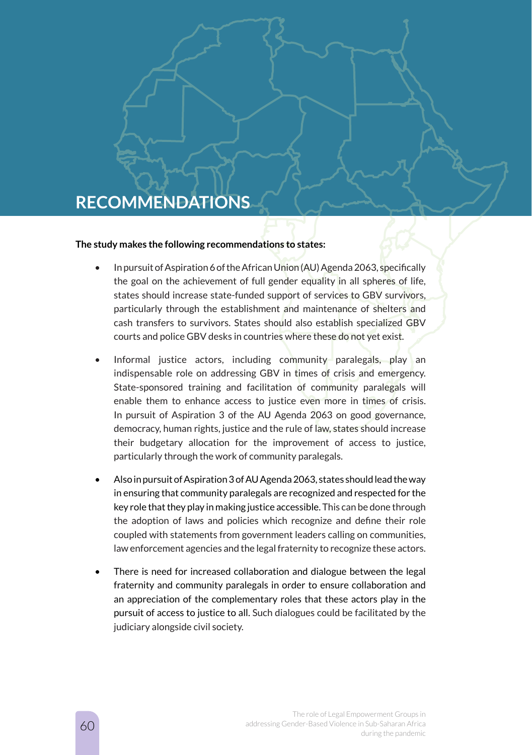# **RECOMMENDATIONS**

#### **The study makes the following recommendations to states:**

- In pursuit of Aspiration 6 of the African Union (AU) Agenda 2063, specifically the goal on the achievement of full gender equality in all spheres of life, states should increase state-funded support of services to GBV survivors, particularly through the establishment and maintenance of shelters and cash transfers to survivors. States should also establish specialized GBV courts and police GBV desks in countries where these do not yet exist.
- Informal justice actors, including community paralegals, play an indispensable role on addressing GBV in times of crisis and emergency. State-sponsored training and facilitation of community paralegals will enable them to enhance access to justice even more in times of crisis. In pursuit of Aspiration 3 of the AU Agenda 2063 on good governance, democracy, human rights, justice and the rule of law, states should increase their budgetary allocation for the improvement of access to justice, particularly through the work of community paralegals.
- Also in pursuit of Aspiration 3 of AU Agenda 2063, states should lead the way in ensuring that community paralegals are recognized and respected for the key role that they play in making justice accessible. This can be done through the adoption of laws and policies which recognize and define their role coupled with statements from government leaders calling on communities, law enforcement agencies and the legal fraternity to recognize these actors.
- There is need for increased collaboration and dialogue between the legal fraternity and community paralegals in order to ensure collaboration and an appreciation of the complementary roles that these actors play in the pursuit of access to justice to all. Such dialogues could be facilitated by the judiciary alongside civil society.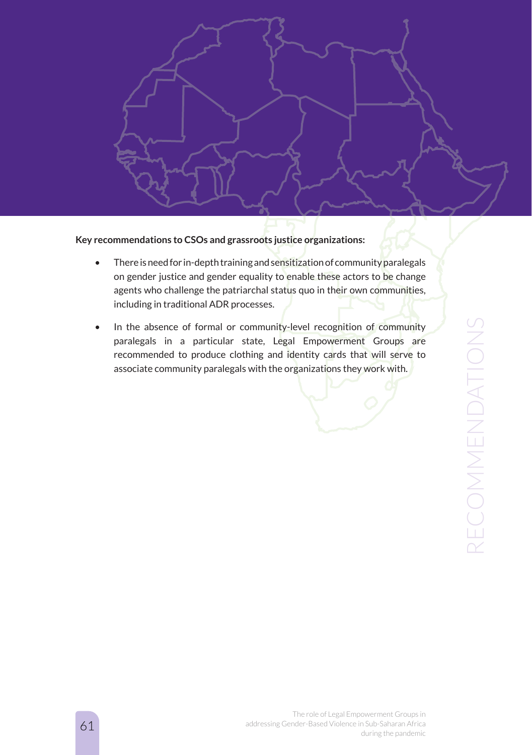

**Key recommendations to CSOs and grassroots justice organizations:**

- There is need for in-depth training and sensitization of community paralegals on gender justice and gender equality to enable these actors to be change agents who challenge the patriarchal status quo in their own communities, including in traditional ADR processes.
- In the absence of formal or community-level recognition of community paralegals in a particular state, Legal Empowerment Groups are recommended to produce clothing and identity cards that will serve to associate community paralegals with the organizations they work with.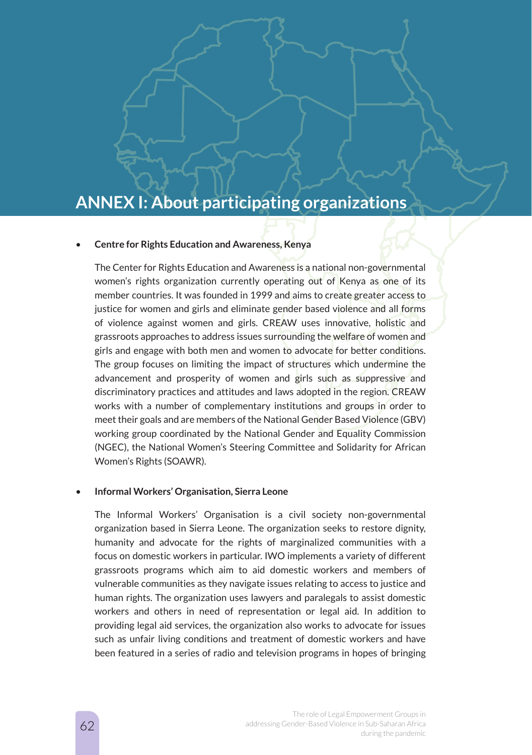# **ANNEX I: About participating organizations**

#### • **Centre for Rights Education and Awareness, Kenya**

The Center for Rights Education and Awareness is a national non-governmental women's rights organization currently operating out of Kenya as one of its member countries. It was founded in 1999 and aims to create greater access to justice for women and girls and eliminate gender based violence and all forms of violence against women and girls. CREAW uses innovative, holistic and grassroots approaches to address issues surrounding the welfare of women and girls and engage with both men and women to advocate for better conditions. The group focuses on limiting the impact of structures which undermine the advancement and prosperity of women and girls such as suppressive and discriminatory practices and attitudes and laws adopted in the region. CREAW works with a number of complementary institutions and groups in order to meet their goals and are members of the National Gender Based Violence (GBV) working group coordinated by the National Gender and Equality Commission (NGEC), the National Women's Steering Committee and Solidarity for African Women's Rights (SOAWR).

#### • **Informal Workers' Organisation, Sierra Leone**

The Informal Workers' Organisation is a civil society non-governmental organization based in Sierra Leone. The organization seeks to restore dignity, humanity and advocate for the rights of marginalized communities with a focus on domestic workers in particular. IWO implements a variety of different grassroots programs which aim to aid domestic workers and members of vulnerable communities as they navigate issues relating to access to justice and human rights. The organization uses lawyers and paralegals to assist domestic workers and others in need of representation or legal aid. In addition to providing legal aid services, the organization also works to advocate for issues such as unfair living conditions and treatment of domestic workers and have been featured in a series of radio and television programs in hopes of bringing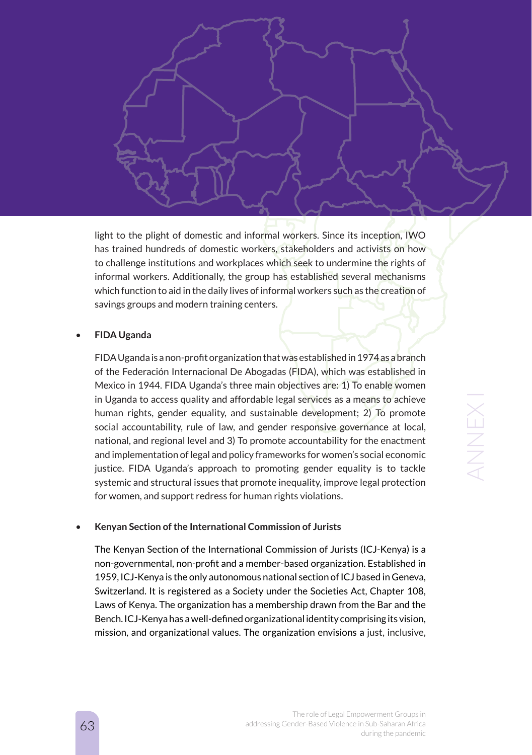light to the plight of domestic and informal workers. Since its inception, IWO has trained hundreds of domestic workers, stakeholders and activists on how to challenge institutions and workplaces which seek to undermine the rights of informal workers. Additionally, the group has established several mechanisms which function to aid in the daily lives of informal workers such as the creation of savings groups and modern training centers.

#### • **FIDA Uganda**

FIDA Uganda is a non-profit organization that was established in 1974 as a branch of the Federación Internacional De Abogadas (FIDA), which was established in Mexico in 1944. FIDA Uganda's three main objectives are: 1) To enable women in Uganda to access quality and affordable legal services as a means to achieve human rights, gender equality, and sustainable development; 2) To promote social accountability, rule of law, and gender responsive governance at local, national, and regional level and 3) To promote accountability for the enactment and implementation of legal and policy frameworks for women's social economic justice. FIDA Uganda's approach to promoting gender equality is to tackle systemic and structural issues that promote inequality, improve legal protection for women, and support redress for human rights violations.

#### • **Kenyan Section of the International Commission of Jurists**

The Kenyan Section of the International Commission of Jurists (ICJ-Kenya) is a non-governmental, non-profit and a member-based organization. Established in 1959, ICJ-Kenya is the only autonomous national section of ICJ based in Geneva, Switzerland. It is registered as a Society under the Societies Act, Chapter 108, Laws of Kenya. The organization has a membership drawn from the Bar and the Bench. ICJ-Kenya has a well-defined organizational identity comprising its vision, mission, and organizational values. The organization envisions a just, inclusive,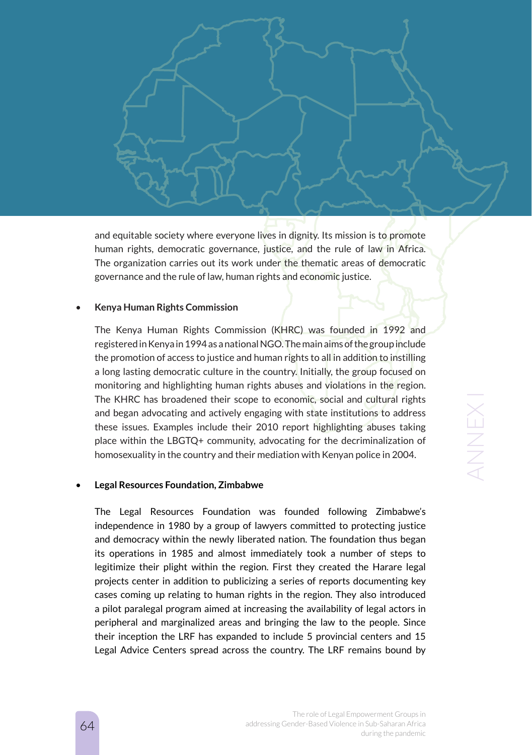

#### • **Kenya Human Rights Commission**

The Kenya Human Rights Commission (KHRC) was founded in 1992 and registered in Kenya in 1994 as a national NGO. The main aims of the group include the promotion of access to justice and human rights to all in addition to instilling a long lasting democratic culture in the country. Initially, the group focused on monitoring and highlighting human rights abuses and violations in the region. The KHRC has broadened their scope to economic, social and cultural rights and began advocating and actively engaging with state institutions to address these issues. Examples include their 2010 report highlighting abuses taking place within the LBGTQ+ community, advocating for the decriminalization of homosexuality in the country and their mediation with Kenyan police in 2004.

#### • **Legal Resources Foundation, Zimbabwe**

The Legal Resources Foundation was founded following Zimbabwe's independence in 1980 by a group of lawyers committed to protecting justice and democracy within the newly liberated nation. The foundation thus began its operations in 1985 and almost immediately took a number of steps to legitimize their plight within the region. First they created the Harare legal projects center in addition to publicizing a series of reports documenting key cases coming up relating to human rights in the region. They also introduced a pilot paralegal program aimed at increasing the availability of legal actors in peripheral and marginalized areas and bringing the law to the people. Since their inception the LRF has expanded to include 5 provincial centers and 15 Legal Advice Centers spread across the country. The LRF remains bound by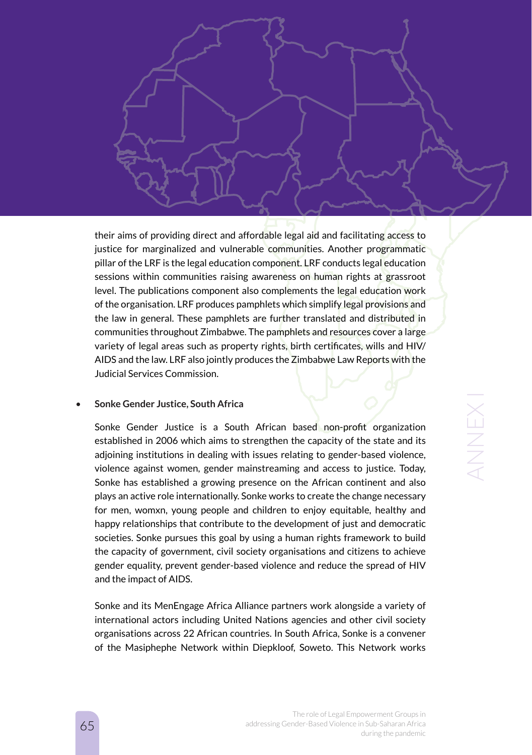their aims of providing direct and affordable legal aid and facilitating access to justice for marginalized and vulnerable communities. Another programmatic pillar of the LRF is the legal education component. LRF conducts legal education sessions within communities raising awareness on human rights at grassroot level. The publications component also complements the legal education work of the organisation. LRF produces pamphlets which simplify legal provisions and the law in general. These pamphlets are further translated and distributed in communities throughout Zimbabwe. The pamphlets and resources cover a large variety of legal areas such as property rights, birth certificates, wills and HIV/ AIDS and the law. LRF also jointly produces the Zimbabwe Law Reports with the Judicial Services Commission.

#### • **Sonke Gender Justice, South Africa**

Sonke Gender Justice is a South African based non-profit organization established in 2006 which aims to strengthen the capacity of the state and its adjoining institutions in dealing with issues relating to gender-based violence, violence against women, gender mainstreaming and access to justice. Today, Sonke has established a growing presence on the African continent and also plays an active role internationally. Sonke works to create the change necessary for men, womxn, young people and children to enjoy equitable, healthy and happy relationships that contribute to the development of just and democratic societies. Sonke pursues this goal by using a human rights framework to build the capacity of government, civil society organisations and citizens to achieve gender equality, prevent gender-based violence and reduce the spread of HIV and the impact of AIDS.

Sonke and its MenEngage Africa Alliance partners work alongside a variety of international actors including United Nations agencies and other civil society organisations across 22 African countries. In South Africa, Sonke is a convener of the Masiphephe Network within Diepkloof, Soweto. This Network works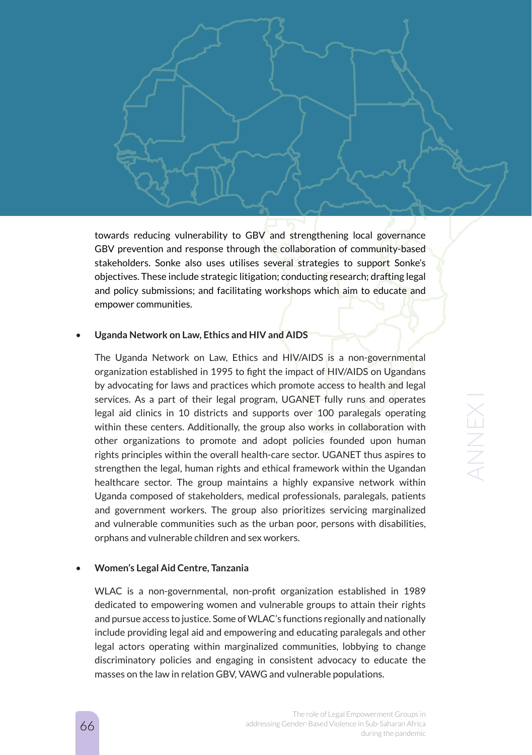towards reducing vulnerability to GBV and strengthening local governance GBV prevention and response through the collaboration of community-based stakeholders. Sonke also uses utilises several strategies to support Sonke's objectives. These include strategic litigation; conducting research; drafting legal and policy submissions; and facilitating workshops which aim to educate and empower communities.

#### • **Uganda Network on Law, Ethics and HIV and AIDS**

The Uganda Network on Law, Ethics and HIV/AIDS is a non-governmental organization established in 1995 to fight the impact of HIV/AIDS on Ugandans by advocating for laws and practices which promote access to health and legal services. As a part of their legal program, UGANET fully runs and operates legal aid clinics in 10 districts and supports over 100 paralegals operating within these centers. Additionally, the group also works in collaboration with other organizations to promote and adopt policies founded upon human rights principles within the overall health-care sector. UGANET thus aspires to strengthen the legal, human rights and ethical framework within the Ugandan healthcare sector. The group maintains a highly expansive network within Uganda composed of stakeholders, medical professionals, paralegals, patients and government workers. The group also prioritizes servicing marginalized and vulnerable communities such as the urban poor, persons with disabilities, orphans and vulnerable children and sex workers.

#### • **Women's Legal Aid Centre, Tanzania**

WLAC is a non-governmental, non-profit organization established in 1989 dedicated to empowering women and vulnerable groups to attain their rights and pursue access to justice. Some of WLAC's functions regionally and nationally include providing legal aid and empowering and educating paralegals and other legal actors operating within marginalized communities, lobbying to change discriminatory policies and engaging in consistent advocacy to educate the masses on the law in relation GBV, VAWG and vulnerable populations.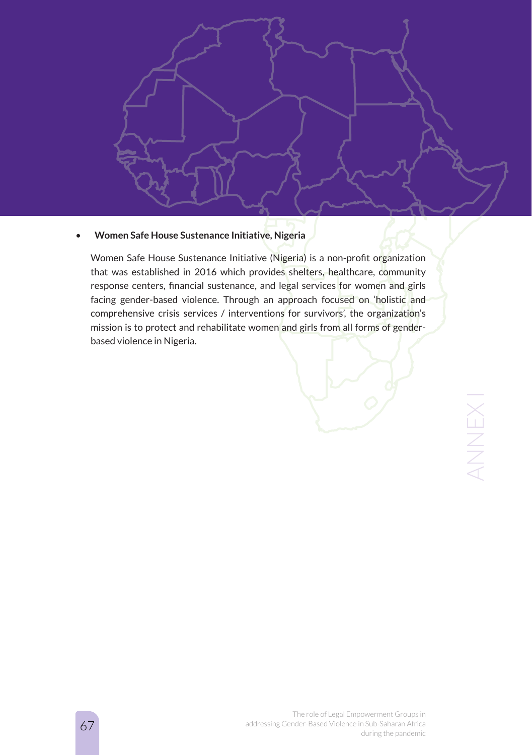

#### • **Women Safe House Sustenance Initiative, Nigeria**

Women Safe House Sustenance Initiative (Nigeria) is a non-profit organization that was established in 2016 which provides shelters, healthcare, community response centers, financial sustenance, and legal services for women and girls facing gender-based violence. Through an approach focused on 'holistic and comprehensive crisis services / interventions for survivors', the organization's mission is to protect and rehabilitate women and girls from all forms of genderbased violence in Nigeria.